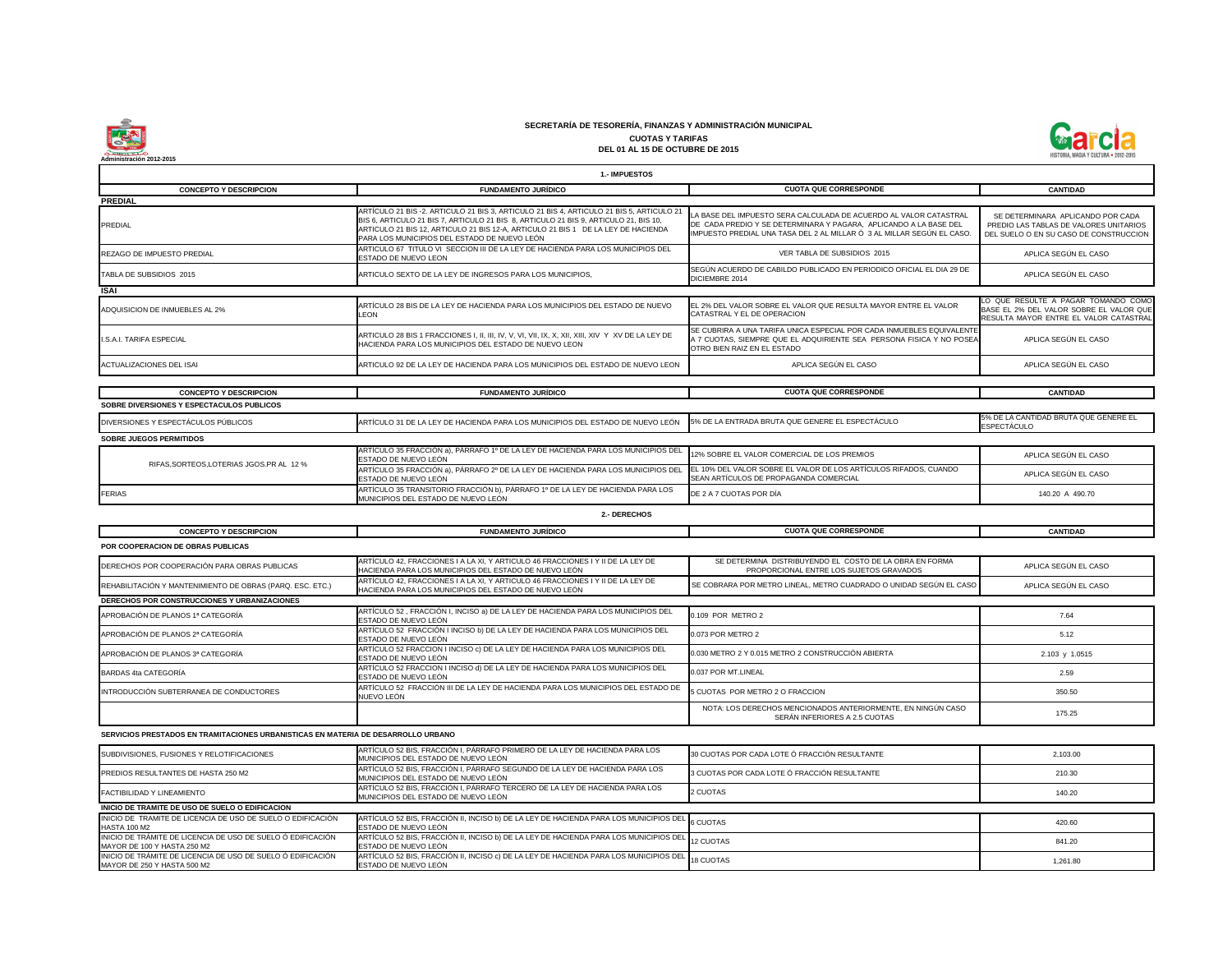

| <b>CUOTA QUE CORRESPONDE</b>                                                                                                                                                                                     | <b>CANTIDAD</b>                                                                                                          |
|------------------------------------------------------------------------------------------------------------------------------------------------------------------------------------------------------------------|--------------------------------------------------------------------------------------------------------------------------|
| LA BASE DEL IMPUESTO SERA CALCULADA DE ACUERDO AL VALOR CATASTRAL<br>DE CADA PREDIO Y SE DETERMINARA Y PAGARA, APLICANDO A LA BASE DEL<br>IMPUESTO PREDIAL UNA TASA DEL 2 AL MILLAR Ó 3 AL MILLAR SEGÚN EL CASO. | SE DETERMINARA APLICANDO POR CADA<br>PREDIO LAS TABLAS DE VALORES UNITARIOS<br>DEL SUELO O EN SU CASO DE CONSTRUCCION    |
| VER TABLA DE SUBSIDIOS 2015                                                                                                                                                                                      | APLICA SEGÚN EL CASO                                                                                                     |
| SEGÚN ACUERDO DE CABILDO PUBLICADO EN PERIODICO OFICIAL EL DIA 29 DE<br>DICIEMBRE 2014                                                                                                                           | APLICA SEGÚN EL CASO                                                                                                     |
| EL 2% DEL VALOR SOBRE EL VALOR QUE RESULTA MAYOR ENTRE EL VALOR<br>CATASTRAL Y EL DE OPERACION                                                                                                                   | LO QUE RESULTE A PAGAR TOMANDO COMO<br>BASE EL 2% DEL VALOR SOBRE EL VALOR QUE<br>RESULTA MAYOR ENTRE EL VALOR CATASTRAL |
| SE CUBRIRA A UNA TARIFA UNICA ESPECIAL POR CADA INMUEBLES EQUIVALENTE<br>A 7 CUOTAS, SIEMPRE QUE EL ADQUIRIENTE SEA PERSONA FISICA Y NO POSEA<br>OTRO BIEN RAIZ EN EL ESTADO                                     | APLICA SEGÚN EL CASO                                                                                                     |
| APLICA SEGÚN EL CASO                                                                                                                                                                                             | APLICA SEGÚN EL CASO                                                                                                     |
| <b>CUOTA QUE CORRESPONDE</b>                                                                                                                                                                                     | <b>CANTIDAD</b>                                                                                                          |
|                                                                                                                                                                                                                  |                                                                                                                          |
| 5% DE LA ENTRADA BRUTA QUE GENERE EL ESPECTÁCULO                                                                                                                                                                 | 5% DE LA CANTIDAD BRUTA QUE GENERE EL<br><b>ESPECTÁCULO</b>                                                              |
|                                                                                                                                                                                                                  |                                                                                                                          |
| 12% SOBRE EL VALOR COMERCIAL DE LOS PREMIOS                                                                                                                                                                      | APLICA SEGÚN EL CASO                                                                                                     |
| EL 10% DEL VALOR SOBRE EL VALOR DE LOS ARTÍCULOS RIFADOS, CUANDO<br>SEAN ARTÍCULOS DE PROPAGANDA COMERCIAL                                                                                                       | APLICA SEGÚN EL CASO                                                                                                     |
| DE 2 A 7 CUOTAS POR DÍA                                                                                                                                                                                          | 140.20 A 490.70                                                                                                          |
|                                                                                                                                                                                                                  |                                                                                                                          |
| <b>CUOTA QUE CORRESPONDE</b>                                                                                                                                                                                     | <b>CANTIDAD</b>                                                                                                          |
|                                                                                                                                                                                                                  |                                                                                                                          |
| SE DETERMINA DISTRIBUYENDO EL COSTO DE LA OBRA EN FORMA<br>PROPORCIONAL ENTRE LOS SUJETOS GRAVADOS                                                                                                               | APLICA SEGUN EL CASO                                                                                                     |
| SE COBRARA POR METRO LINEAL, METRO CUADRADO O UNIDAD SEGÚN EL CASO                                                                                                                                               | APLICA SEGÚN EL CASO                                                                                                     |
|                                                                                                                                                                                                                  |                                                                                                                          |
| 0.109 POR METRO 2                                                                                                                                                                                                | 7.64                                                                                                                     |
| 0.073 POR METRO 2                                                                                                                                                                                                | 5.12                                                                                                                     |
| 0.030 METRO 2 Y 0.015 METRO 2 CONSTRUCCIÓN ABIERTA                                                                                                                                                               | 2.103 y 1.0515                                                                                                           |
| 0.037 POR MT.LINEAL                                                                                                                                                                                              | 2.59                                                                                                                     |
| 5 CUOTAS POR METRO 2 O FRACCION                                                                                                                                                                                  | 350.50                                                                                                                   |
| NOTA: LOS DERECHOS MENCIONADOS ANTERIORMENTE, EN NINGÚN CASO<br>SERÁN INFERIORES A 2.5 CUOTAS                                                                                                                    | 175.25                                                                                                                   |
|                                                                                                                                                                                                                  |                                                                                                                          |
| OTE Á FRACCIÓN DECHI                                                                                                                                                                                             |                                                                                                                          |

| <b>SOBRE JUEGOS PERMITIDOS</b>            |                                                                                                                                                                |                                                |
|-------------------------------------------|----------------------------------------------------------------------------------------------------------------------------------------------------------------|------------------------------------------------|
| RIFAS, SORTEOS, LOTERIAS JGOS. PR AL 12 % | ARTÍCULO 35 FRACCIÓN a), PÁRRAFO 1º DE LA LEY DE HACIENDA PARA LOS MUNICIPIOS DEL 12% SOBRE EL VALOR COMERCIAL DE LOS PREMIOS<br><b>ESTADO DE NUEVO LEÓN</b>   |                                                |
|                                           | ARTÍCULO 35 FRACCIÓN a), PÁRRAFO 2º DE LA LEY DE HACIENDA PARA LOS MUNICIPIOS DEL EL 10% DEL VALOR SOBRE EL VALOR DE LOS ARTÍCU<br><b>ESTADO DE NUEVO LEÓN</b> | <b>ISEAN ARTICULOS DE PROPAGANDA COMERCIAL</b> |
| <b>IFERIAS</b>                            | ARTÍCULO 35 TRANSITORIO FRACCIÓN b), PÁRRAFO 1º DE LA LEY DE HACIENDA PARA LOS<br><b>IMUNICIPIOS DEL ESTADO DE NUEVO LEÓN</b>                                  | <b>IDE 2 A 7 CUOTAS POR DÍA</b>                |

| SUBDIVISIONES, FUSIONES Y RELOTIFICACIONES                                                 | ARTÍCULO 52 BIS, FRACCIÓN I, PÁRRAFO PRIMERO DE LA LEY DE HACIENDA PARA LOS<br>MUNICIPIOS DEL ESTADO DE NUEVO LEÓN      | 30 CUOTAS POR CADA LOTE Ó FRACCIÓN RESULTANTE | 2.103.00 |
|--------------------------------------------------------------------------------------------|-------------------------------------------------------------------------------------------------------------------------|-----------------------------------------------|----------|
| PREDIOS RESULTANTES DE HASTA 250 M2                                                        | ARTÍCULO 52 BIS, FRACCIÓN I, PÁRRAFO SEGUNDO DE LA LEY DE HACIENDA PARA LOS<br>MUNICIPIOS DEL ESTADO DE NUEVO LEÓN      | 3 CUOTAS POR CADA LOTE Ó FRACCIÓN RESULTANTE  | 210.30   |
| <b>FACTIBILIDAD Y LINEAMIENTO</b>                                                          | ARTÍCULO 52 BIS, FRACCIÓN I, PÁRRAFO TERCERO DE LA LEY DE HACIENDA PARA LOS<br>MUNICIPIOS DEL ESTADO DE NUEVO LEÓN      | 2 CUOTAS                                      | 140.20   |
| INICIO DE TRAMITE DE USO DE SUELO O EDIFICACION                                            |                                                                                                                         |                                               |          |
| INICIO DE TRAMITE DE LICENCIA DE USO DE SUELO O EDIFICACIÓN<br>HASTA 100 M2                | ARTÍCULO 52 BIS, FRACCIÓN II, INCISO b) DE LA LEY DE HACIENDA PARA LOS MUNICIPIOS DEL 6 CUOTAS<br>ESTADO DE NUEVO LEÓN  |                                               | 420.60   |
| INICIO DE TRÁMITE DE LICENCIA DE USO DE SUELO Ó EDIFICACIÓN<br>MAYOR DE 100 Y HASTA 250 M2 | ARTÍCULO 52 BIS, FRACCIÓN II, INCISO b) DE LA LEY DE HACIENDA PARA LOS MUNICIPIOS DEL 12 CUOTAS<br>ESTADO DE NUEVO LEÓN |                                               | 841.20   |
| INICIO DE TRÁMITE DE LICENCIA DE USO DE SUELO Ó EDIFICACIÓN<br>MAYOR DE 250 Y HASTA 500 M2 | ARTÍCULO 52 BIS, FRACCIÓN II, INCISO c) DE LA LEY DE HACIENDA PARA LOS MUNICIPIOS DEL 18 CUOTAS<br>ESTADO DE NUEVO LEÓN |                                               | 1,261.80 |

| <b>CONCEPTO Y DESCRIPCION</b>                             | <b>FUNDAMENTO JURÍDICO</b>                                                                                                               | <b>CUOTA QUE CORRESPONDE</b>                                                                       | <b>CANTIDAD</b> |
|-----------------------------------------------------------|------------------------------------------------------------------------------------------------------------------------------------------|----------------------------------------------------------------------------------------------------|-----------------|
| <b>POR COOPERACION DE OBRAS PUBLICAS</b>                  |                                                                                                                                          |                                                                                                    |                 |
| DERECHOS POR COOPERACIÓN PARA OBRAS PUBLICAS              | ARTÍCULO 42, FRACCIONES I A LA XI, Y ARTICULO 46 FRACCIONES I Y II DE LA LEY DE<br>HACIENDA PARA LOS MUNICIPIOS DEL ESTADO DE NUEVO LEÓN | SE DETERMINA DISTRIBUYENDO EL COSTO DE LA OBRA EN FORMA<br>PROPORCIONAL ENTRE LOS SUJETOS GRAVADOS | APLICA SEGÚN E  |
| REHABILITACIÓN Y MANTENIMIENTO DE OBRAS (PARQ. ESC. ETC.) | ARTÍCULO 42, FRACCIONES I A LA XI, Y ARTICULO 46 FRACCIONES I Y II DE LA LEY DE<br>HACIENDA PARA LOS MUNICIPIOS DEL ESTADO DE NUEVO LEÓN | SE COBRARA POR METRO LINEAL, METRO CUADRADO O UNIDAD SEGÚN EL CASO                                 | APLICA SEGÚN EI |
| DERECHOS POR CONSTRUCCIONES Y URBANIZACIONES              |                                                                                                                                          |                                                                                                    |                 |
| APROBACIÓN DE PLANOS 1ª CATEGORÍA                         | ARTÍCULO 52, FRACCIÓN I, INCISO a) DE LA LEY DE HACIENDA PARA LOS MUNICIPIOS DEL<br>ESTADO DE NUEVO LEÓN                                 | 0.109 POR METRO 2                                                                                  | 7.64            |
| APROBACIÓN DE PLANOS 2ª CATEGORÍA                         | ARTÍCULO 52 FRACCIÓN I INCISO b) DE LA LEY DE HACIENDA PARA LOS MUNICIPIOS DEL<br>ESTADO DE NUEVO LEÓN                                   | 0.073 POR METRO 2                                                                                  | 5.12            |
| APROBACIÓN DE PLANOS 3ª CATEGORÍA                         | ARTÍCULO 52 FRACCION I INCISO c) DE LA LEY DE HACIENDA PARA LOS MUNICIPIOS DEL<br>ESTADO DE NUEVO LEÓN                                   | 0.030 METRO 2 Y 0.015 METRO 2 CONSTRUCCIÓN ABIERTA                                                 | 2.103 y 1.05    |
| BARDAS 4ta CATEGORÍA                                      | ARTÍCULO 52 FRACCION I INCISO d) DE LA LEY DE HACIENDA PARA LOS MUNICIPIOS DEL<br>ESTADO DE NUEVO LEÓN                                   | 0.037 POR MT.LINEAL                                                                                | 2.59            |
| INTRODUCCIÓN SUBTERRANEA DE CONDUCTORES                   | ARTÍCULO 52 FRACCIÓN III DE LA LEY DE HACIENDA PARA LOS MUNICIPIOS DEL ESTADO DE<br>NUEVO LEÓN                                           | 5 CUOTAS POR METRO 2 O FRACCION                                                                    | 350.50          |
|                                                           |                                                                                                                                          | NOTA: LOS DERECHOS MENCIONADOS ANTERIORMENTE, EN NINGÚN CASO<br>SERÁN INFERIORES A 2.5 CUOTAS      | 175.25          |

### **SECRETARÍA DE TESORERÍA, FINANZAS Y ADMINISTRACIÓN MUNICIPAL CUOTAS Y TARIFAS**

**DEL 01 AL 15 DE OCTUBRE DE 2015**

|                                           | <b>1.- IMPUESTOS</b>                                                                                                                                                                                                                                                                                                  |                                                                                                                                                                                                                  |                                                                                              |
|-------------------------------------------|-----------------------------------------------------------------------------------------------------------------------------------------------------------------------------------------------------------------------------------------------------------------------------------------------------------------------|------------------------------------------------------------------------------------------------------------------------------------------------------------------------------------------------------------------|----------------------------------------------------------------------------------------------|
| <b>CONCEPTO Y DESCRIPCION</b>             | <b>FUNDAMENTO JURÍDICO</b>                                                                                                                                                                                                                                                                                            | <b>CUOTA QUE CORRESPONDE</b>                                                                                                                                                                                     | <b>CANTIDAD</b>                                                                              |
| <b>PREDIAL</b>                            |                                                                                                                                                                                                                                                                                                                       |                                                                                                                                                                                                                  |                                                                                              |
| <b>PREDIAL</b>                            | ARTÍCULO 21 BIS -2. ARTÍCULO 21 BIS 3, ARTÍCULO 21 BIS 4, ARTÍCULO 21 BIS 5, ARTÍCULO 21<br>BIS 6, ARTICULO 21 BIS 7, ARTICULO 21 BIS 8, ARTICULO 21 BIS 9, ARTICULO 21, BIS 10,<br>ARTICULO 21 BIS 12, ARTICULO 21 BIS 12-A, ARTICULO 21 BIS 1 DE LA LEY DE HACIENDA<br>PARA LOS MUNICIPIOS DEL ESTADO DE NUEVO LEÓN | LA BASE DEL IMPUESTO SERA CALCULADA DE ACUERDO AL VALOR CATASTRAL<br>DE CADA PREDIO Y SE DETERMINARA Y PAGARA, APLICANDO A LA BASE DEL<br>IMPUESTO PREDIAL UNA TASA DEL 2 AL MILLAR Ó 3 AL MILLAR SEGÚN EL CASO. | SE DETERMINARA APLICANDO P<br>PREDIO LAS TABLAS DE VALORES<br>DEL SUELO O EN SU CASO DE CON  |
| <b>REZAGO DE IMPUESTO PREDIAL</b>         | ARTICULO 67 TITULO VI SECCION III DE LA LEY DE HACIENDA PARA LOS MUNICIPIOS DEL<br><b>ESTADO DE NUEVO LEON</b>                                                                                                                                                                                                        | VER TABLA DE SUBSIDIOS 2015                                                                                                                                                                                      | APLICA SEGÚN EL CASC                                                                         |
| TABLA DE SUBSIDIOS 2015                   | ARTICULO SEXTO DE LA LEY DE INGRESOS PARA LOS MUNICIPIOS.                                                                                                                                                                                                                                                             | SEGÚN ACUERDO DE CABILDO PUBLICADO EN PERIODICO OFICIAL EL DIA 29 DE<br>DICIEMBRE 2014                                                                                                                           | APLICA SEGÚN EL CASC                                                                         |
| <b>ISAI</b>                               |                                                                                                                                                                                                                                                                                                                       |                                                                                                                                                                                                                  |                                                                                              |
| ADQUISICION DE INMUEBLES AL 2%            | ARTÍCULO 28 BIS DE LA LEY DE HACIENDA PARA LOS MUNICIPIOS DEL ESTADO DE NUEVO<br><b>LEON</b>                                                                                                                                                                                                                          | <b>IEL 2% DEL VALOR SOBRE EL VALOR QUE RESULTA MAYOR ENTRE EL VALOR</b><br><b>CATASTRAL Y EL DE OPERACION</b>                                                                                                    | LO QUE RESULTE A PAGAR TOMA<br>BASE EL 2% DEL VALOR SOBRE EL<br>RESULTA MAYOR ENTRE EL VALOR |
| <b>I.S.A.I. TARIFA ESPECIAL</b>           | HACIENDA PARA LOS MUNICIPIOS DEL ESTADO DE NUEVO LEON                                                                                                                                                                                                                                                                 | SE CUBRIRA A UNA TARIFA UNICA ESPECIAL POR CADA INMUEBLES EQUIVALENTE<br>A 7 CUOTAS, SIEMPRE QUE EL ADQUIRIENTE SEA PERSONA FISICA Y NO POSEA<br>OTRO BIEN RAIZ EN EL ESTADO                                     | APLICA SEGÚN EL CASC                                                                         |
| <b>ACTUALIZACIONES DEL ISAI</b>           | ARTICULO 92 DE LA LEY DE HACIENDA PARA LOS MUNICIPIOS DEL ESTADO DE NUEVO LEON                                                                                                                                                                                                                                        | APLICA SEGÚN EL CASO                                                                                                                                                                                             | APLICA SEGÚN EL CASC                                                                         |
|                                           |                                                                                                                                                                                                                                                                                                                       |                                                                                                                                                                                                                  |                                                                                              |
| <b>CONCEPTO Y DESCRIPCION</b>             | <b>FUNDAMENTO JURÍDICO</b>                                                                                                                                                                                                                                                                                            | <b>CUOTA QUE CORRESPONDE</b>                                                                                                                                                                                     | <b>CANTIDAD</b>                                                                              |
| SOBRE DIVERSIONES Y ESPECTACULOS PUBLICOS |                                                                                                                                                                                                                                                                                                                       |                                                                                                                                                                                                                  |                                                                                              |
| DIVERSIONES Y ESPECTÁCULOS PÚBLICOS       | ARTÍCULO 31 DE LA LEY DE HACIENDA PARA LOS MUNICIPIOS DEL ESTADO DE NUEVO LEÓN 5% DE LA ENTRADA BRUTA QUE GENERE EL ESPECTÁCULO                                                                                                                                                                                       |                                                                                                                                                                                                                  | 5% DE LA CANTIDAD BRUTA QUE GE<br>FODEOTÍOULO                                                |

**SERVICIOS PRESTADOS EN TRAMITACIONES URBANISTICAS EN MATERIA DE DESARROLLO URBANO**

**2.- DERECHOS**

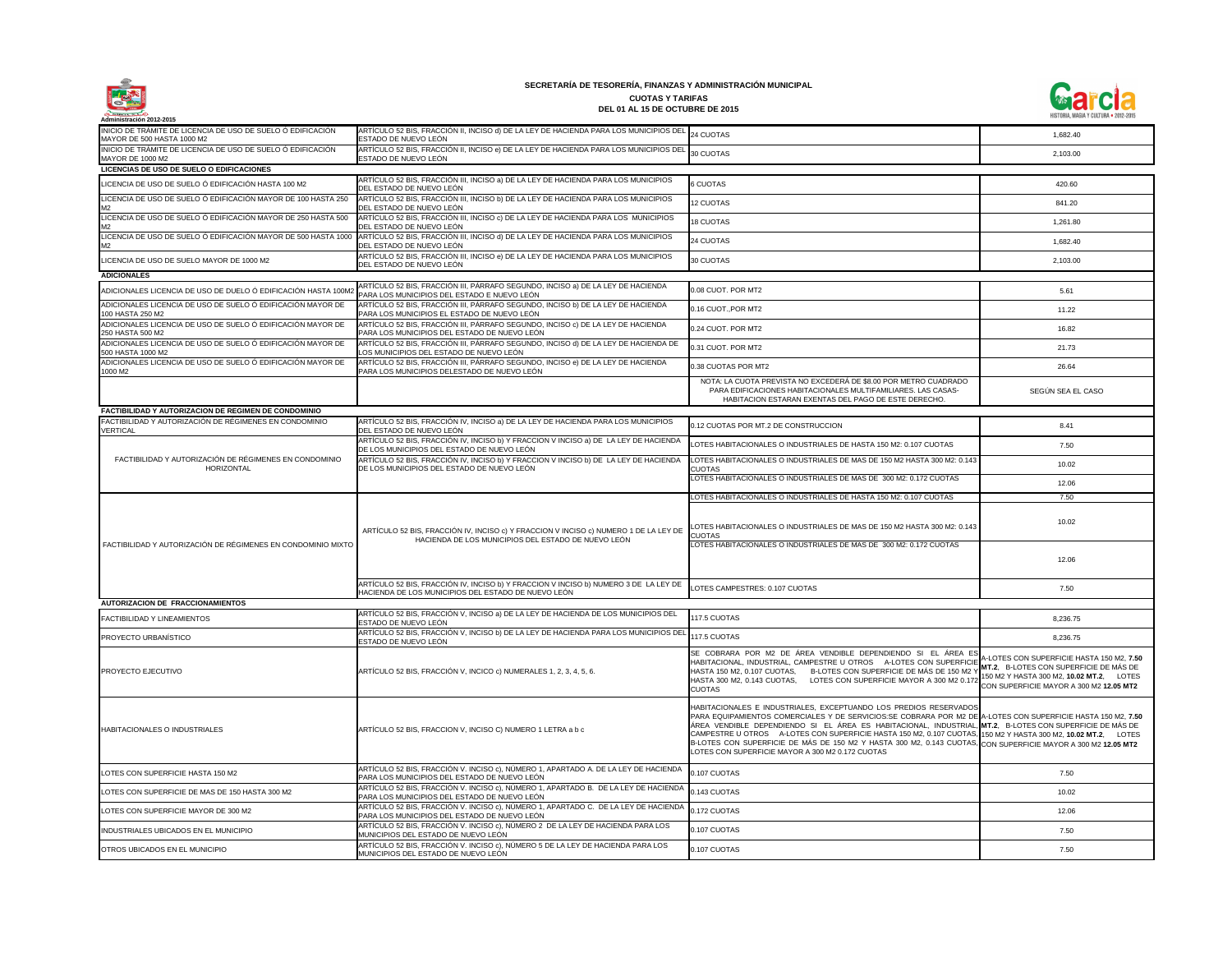

| Administración 2012-2015                                                                  |                                                                                                                                             |                                                                                                                                                                                                                                                                                                                                                                                                                                                                                                                                                                                      | <b>MISTURIA, MAGIA T GULI URA • ZUIZ-ZUIJ</b>                                                                                                                              |
|-------------------------------------------------------------------------------------------|---------------------------------------------------------------------------------------------------------------------------------------------|--------------------------------------------------------------------------------------------------------------------------------------------------------------------------------------------------------------------------------------------------------------------------------------------------------------------------------------------------------------------------------------------------------------------------------------------------------------------------------------------------------------------------------------------------------------------------------------|----------------------------------------------------------------------------------------------------------------------------------------------------------------------------|
| INICIO DE TRÁMITE DE LICENCIA DE USO DE SUELO Ó EDIFICACIÓN<br>MAYOR DE 500 HASTA 1000 M2 | ARTÍCULO 52 BIS, FRACCIÓN II, INCISO d) DE LA LEY DE HACIENDA PARA LOS MUNICIPIOS DEL<br>ESTADO DE NUEVO LEÓN                               | 24 CUOTAS                                                                                                                                                                                                                                                                                                                                                                                                                                                                                                                                                                            | 1,682.40                                                                                                                                                                   |
| INICIO DE TRÁMITE DE LICENCIA DE USO DE SUELO Ó EDIFICACIÓN<br>MAYOR DE 1000 M2           | ARTÍCULO 52 BIS, FRACCIÓN II, INCISO e) DE LA LEY DE HACIENDA PARA LOS MUNICIPIOS DEL<br>ESTADO DE NUEVO LEÓN                               | 30 CUOTAS                                                                                                                                                                                                                                                                                                                                                                                                                                                                                                                                                                            | 2,103.00                                                                                                                                                                   |
| LICENCIAS DE USO DE SUELO O EDIFICACIONES                                                 |                                                                                                                                             |                                                                                                                                                                                                                                                                                                                                                                                                                                                                                                                                                                                      |                                                                                                                                                                            |
| LICENCIA DE USO DE SUELO Ó EDIFICACIÓN HASTA 100 M2                                       | ARTÍCULO 52 BIS, FRACCIÓN III, INCISO a) DE LA LEY DE HACIENDA PARA LOS MUNICIPIOS<br>DEL ESTADO DE NUEVO LEÓN                              | 6 CUOTAS                                                                                                                                                                                                                                                                                                                                                                                                                                                                                                                                                                             | 420.60                                                                                                                                                                     |
| LICENCIA DE USO DE SUELO Ó EDIFICACIÓN MAYOR DE 100 HASTA 250<br>M2                       | ARTÍCULO 52 BIS, FRACCIÓN III, INCISO b) DE LA LEY DE HACIENDA PARA LOS MUNICIPIOS<br>DEL ESTADO DE NUEVO LEÓN                              | <b>12 CUOTAS</b>                                                                                                                                                                                                                                                                                                                                                                                                                                                                                                                                                                     | 841.20                                                                                                                                                                     |
| LICENCIA DE USO DE SUELO Ó EDIFICACIÓN MAYOR DE 250 HASTA 500                             | ARTÍCULO 52 BIS, FRACCIÓN III, INCISO c) DE LA LEY DE HACIENDA PARA LOS MUNICIPIOS<br>DEL ESTADO DE NUEVO LEÓN                              | <b>18 CUOTAS</b>                                                                                                                                                                                                                                                                                                                                                                                                                                                                                                                                                                     | 1,261.80                                                                                                                                                                   |
| M2<br>LICENCIA DE USO DE SUELO Ó EDIFICACIÓN MAYOR DE 500 HASTA 1000<br>M2                | ARTÍCULO 52 BIS, FRACCIÓN III, INCISO d) DE LA LEY DE HACIENDA PARA LOS MUNICIPIOS<br>DEL ESTADO DE NUEVO LEÓN                              | 24 CUOTAS                                                                                                                                                                                                                                                                                                                                                                                                                                                                                                                                                                            | 1,682.40                                                                                                                                                                   |
| LICENCIA DE USO DE SUELO MAYOR DE 1000 M2                                                 | ARTÍCULO 52 BIS, FRACCIÓN III, INCISO e) DE LA LEY DE HACIENDA PARA LOS MUNICIPIOS<br>DEL ESTADO DE NUEVO LEÓN                              | 30 CUOTAS                                                                                                                                                                                                                                                                                                                                                                                                                                                                                                                                                                            | 2,103.00                                                                                                                                                                   |
| <b>ADICIONALES</b>                                                                        |                                                                                                                                             |                                                                                                                                                                                                                                                                                                                                                                                                                                                                                                                                                                                      |                                                                                                                                                                            |
| ADICIONALES LICENCIA DE USO DE DUELO Ó EDIFICACIÓN HASTA 100M2                            | ARTÍCULO 52 BIS, FRACCIÓN III, PÁRRAFO SEGUNDO, INCISO a) DE LA LEY DE HACIENDA                                                             | 0.08 CUOT. POR MT2                                                                                                                                                                                                                                                                                                                                                                                                                                                                                                                                                                   | 5.61                                                                                                                                                                       |
| ADICIONALES LICENCIA DE USO DE SUELO Ó EDIFICACIÓN MAYOR DE                               | PARA LOS MUNICIPIOS DEL ESTADO E NUEVO LEÓN<br>ARTÍCULO 52 BIS, FRACCIÓN III, PÁRRAFO SEGUNDO, INCISO b) DE LA LEY DE HACIENDA              | 0.16 CUOT., POR MT2                                                                                                                                                                                                                                                                                                                                                                                                                                                                                                                                                                  | 11.22                                                                                                                                                                      |
| 100 HASTA 250 M2<br>ADICIONALES LICENCIA DE USO DE SUELO Ó EDIFICACIÓN MAYOR DE           | PARA LOS MUNICIPIOS EL ESTADO DE NUEVO LEÓN<br>ARTÍCULO 52 BIS, FRACCIÓN III, PÁRRAFO SEGUNDO, INCISO c) DE LA LEY DE HACIENDA              | 0.24 CUOT, POR MT2                                                                                                                                                                                                                                                                                                                                                                                                                                                                                                                                                                   | 16.82                                                                                                                                                                      |
| 250 HASTA 500 M2<br>ADICIONALES LICENCIA DE USO DE SUELO Ó EDIFICACIÓN MAYOR DE           | PARA LOS MUNICIPIOS DEL ESTADO DE NUEVO LEÓN<br>ARTÍCULO 52 BIS, FRACCIÓN III, PÁRRAFO SEGUNDO, INCISO d) DE LA LEY DE HACIENDA DE          | 0.31 CUOT. POR MT2                                                                                                                                                                                                                                                                                                                                                                                                                                                                                                                                                                   | 21.73                                                                                                                                                                      |
| 500 HASTA 1000 M2<br>ADICIONALES LICENCIA DE USO DE SUELO Ó EDIFICACIÓN MAYOR DE          | LOS MUNICIPIOS DEL ESTADO DE NUEVO LEÓN<br>ARTÍCULO 52 BIS, FRACCIÓN III, PÁRRAFO SEGUNDO, INCISO e) DE LA LEY DE HACIENDA                  | 0.38 CUOTAS POR MT2                                                                                                                                                                                                                                                                                                                                                                                                                                                                                                                                                                  | 26.64                                                                                                                                                                      |
| 1000 M2                                                                                   | PARA LOS MUNICIPIOS DELESTADO DE NUEVO LEÓN                                                                                                 | NOTA: LA CUOTA PREVISTA NO EXCEDERÁ DE \$8.00 POR METRO CUADRADO                                                                                                                                                                                                                                                                                                                                                                                                                                                                                                                     |                                                                                                                                                                            |
|                                                                                           |                                                                                                                                             | PARA EDIFICACIONES HABITACIONALES MULTIFAMILIARES. LAS CASAS-<br>HABITACION ESTARAN EXENTAS DEL PAGO DE ESTE DERECHO.                                                                                                                                                                                                                                                                                                                                                                                                                                                                | SEGÚN SEA EL CASO                                                                                                                                                          |
| FACTIBILIDAD Y AUTORIZACION DE REGIMEN DE CONDOMINIO                                      |                                                                                                                                             |                                                                                                                                                                                                                                                                                                                                                                                                                                                                                                                                                                                      |                                                                                                                                                                            |
| FACTIBILIDAD Y AUTORIZACIÓN DE RÉGIMENES EN CONDOMINIO<br><b>VERTICAL</b>                 | ARTÍCULO 52 BIS, FRACCIÓN IV, INCISO a) DE LA LEY DE HACIENDA PARA LOS MUNICIPIOS<br>DEL ESTADO DE NUEVO LEÓN                               | 0.12 CUOTAS POR MT.2 DE CONSTRUCCION                                                                                                                                                                                                                                                                                                                                                                                                                                                                                                                                                 | 8.41                                                                                                                                                                       |
|                                                                                           | ARTÍCULO 52 BIS, FRACCIÓN IV, INCISO b) Y FRACCION V INCISO a) DE LA LEY DE HACIENDA<br>DE LOS MUNICIPIOS DEL ESTADO DE NUEVO LEÓN          | LOTES HABITACIONALES O INDUSTRIALES DE HASTA 150 M2: 0.107 CUOTAS                                                                                                                                                                                                                                                                                                                                                                                                                                                                                                                    | 7.50                                                                                                                                                                       |
| FACTIBILIDAD Y AUTORIZACIÓN DE RÉGIMENES EN CONDOMINIO<br>HORIZONTAL                      | ARTÍCULO 52 BIS, FRACCIÓN IV, INCISO b) Y FRACCION V INCISO b) DE LA LEY DE HACIENDA<br>DE LOS MUNICIPIOS DEL ESTADO DE NUEVO LEÓN          | LOTES HABITACIONALES O INDUSTRIALES DE MAS DE 150 M2 HASTA 300 M2: 0.143<br><b>CUOTAS</b>                                                                                                                                                                                                                                                                                                                                                                                                                                                                                            | 10.02                                                                                                                                                                      |
|                                                                                           |                                                                                                                                             | LOTES HABITACIONALES O INDUSTRIALES DE MAS DE 300 M2: 0.172 CUOTAS                                                                                                                                                                                                                                                                                                                                                                                                                                                                                                                   | 12.06                                                                                                                                                                      |
|                                                                                           |                                                                                                                                             | LOTES HABITACIONALES O INDUSTRIALES DE HASTA 150 M2: 0.107 CUOTAS                                                                                                                                                                                                                                                                                                                                                                                                                                                                                                                    | 7.50                                                                                                                                                                       |
|                                                                                           | ARTÍCULO 52 BIS, FRACCIÓN IV, INCISO c) Y FRACCION V INCISO c) NUMERO 1 DE LA LEY DE<br>HACIENDA DE LOS MUNICIPIOS DEL ESTADO DE NUEVO LEÓN | LOTES HABITACIONALES O INDUSTRIALES DE MAS DE 150 M2 HASTA 300 M2: 0.143<br><b>CUOTAS</b>                                                                                                                                                                                                                                                                                                                                                                                                                                                                                            | 10.02                                                                                                                                                                      |
| FACTIBILIDAD Y AUTORIZACIÓN DE RÉGIMENES EN CONDOMINIO MIXTO                              |                                                                                                                                             | LOTES HABITACIONALES O INDUSTRIALES DE MAS DE 300 M2: 0.172 CUOTAS                                                                                                                                                                                                                                                                                                                                                                                                                                                                                                                   | 12.06                                                                                                                                                                      |
|                                                                                           | ARTÍCULO 52 BIS, FRACCIÓN IV, INCISO b) Y FRACCION V INCISO b) NUMERO 3 DE LA LEY DE<br>HACIENDA DE LOS MUNICIPIOS DEL ESTADO DE NUEVO LEÓN | LOTES CAMPESTRES: 0.107 CUOTAS                                                                                                                                                                                                                                                                                                                                                                                                                                                                                                                                                       | 7.50                                                                                                                                                                       |
| <b>AUTORIZACION DE FRACCIONAMIENTOS</b>                                                   |                                                                                                                                             |                                                                                                                                                                                                                                                                                                                                                                                                                                                                                                                                                                                      |                                                                                                                                                                            |
| <b>FACTIBILIDAD Y LINEAMIENTOS</b>                                                        | ARTÍCULO 52 BIS, FRACCIÓN V, INCISO a) DE LA LEY DE HACIENDA DE LOS MUNICIPIOS DEL<br>ESTADO DE NUEVO LEÓN                                  | 117.5 CUOTAS                                                                                                                                                                                                                                                                                                                                                                                                                                                                                                                                                                         | 8,236.75                                                                                                                                                                   |
| <b>PROYECTO URBANISTICO</b>                                                               | ARTÍCULO 52 BIS, FRACCIÓN V, INCISO b) DE LA LEY DE HACIENDA PARA LOS MUNICIPIOS DEL 117.5 CUOTAS<br>ESTADO DE NUEVO LEÓN                   |                                                                                                                                                                                                                                                                                                                                                                                                                                                                                                                                                                                      | 8,236.75                                                                                                                                                                   |
| <b>PROYECTO EJECUTIVO</b>                                                                 | ARTÍCULO 52 BIS, FRACCIÓN V, INCICO c) NUMERALES 1, 2, 3, 4, 5, 6.                                                                          | SE COBRARA POR M2 DE ÁREA VENDIBLE DEPENDIENDO SI EL ÁREA ES<br>HABITACIONAL, INDUSTRIAL, CAMPESTRE U OTROS  A-LOTES CON SUPERFICIE<br>HASTA 150 M2, 0.107 CUOTAS, B-LOTES CON SUPERFICIE DE MÁS DE 150 M2 Y<br>HASTA 300 M2, 0.143 CUOTAS, LOTES CON SUPERFICIE MAYOR A 300 M2 0.172<br><b>CUOTAS</b>                                                                                                                                                                                                                                                                               | A-LOTES CON SUPERFICIE HASTA 150 M2, 7.50<br>MT.2, B-LOTES CON SUPERFICIE DE MÁS DE<br>150 M2 Y HASTA 300 M2, 10.02 MT.2, LOTES<br>CON SUPERFICIE MAYOR A 300 M2 12.05 MT2 |
| <b>HABITACIONALES O INDUSTRIALES</b>                                                      | ARTÍCULO 52 BIS, FRACCION V, INCISO C) NUMERO 1 LETRA a b c                                                                                 | HABITACIONALES E INDUSTRIALES, EXCEPTUANDO LOS PREDIOS RESERVADOS<br>PARA EQUIPAMIENTOS COMERCIALES Y DE SERVICIOS: SE COBRARA POR M2 DE A-LOTES CON SUPERFICIE HASTA 150 M2, 7.50<br>ÁREA VENDIBLE DEPENDIENDO SI EL ÁREA ES HABITACIONAL, INDUSTRIAL, MT.2, B-LOTES CON SUPERFICIE DE MÁS DE<br>CAMPESTRE U OTROS A-LOTES CON SUPERFICIE HASTA 150 M2, 0.107 CUOTAS, 150 M2 Y HASTA 300 M2, 10.02 MT.2, LOTES<br>B-LOTES CON SUPERFICIE DE MÁS DE 150 M2 Y HASTA 300 M2, 0.143 CUOTAS, CON SUPERFICIE MAYOR A 300 M2 12.05 MT2<br>LOTES CON SUPERFICIE MAYOR A 300 M2 0.172 CUOTAS |                                                                                                                                                                            |
| LOTES CON SUPERFICIE HASTA 150 M2                                                         | ARTÍCULO 52 BIS, FRACCIÓN V. INCISO c), NÚMERO 1, APARTADO A. DE LA LEY DE HACIENDA<br>PARA LOS MUNICIPIOS DEL ESTADO DE NUEVO LEÓN         | 0.107 CUOTAS                                                                                                                                                                                                                                                                                                                                                                                                                                                                                                                                                                         | 7.50                                                                                                                                                                       |
| LOTES CON SUPERFICIE DE MAS DE 150 HASTA 300 M2                                           | ARTÍCULO 52 BIS, FRACCIÓN V. INCISO c), NÚMERO 1, APARTADO B. DE LA LEY DE HACIENDA<br>PARA LOS MUNICIPIOS DEL ESTADO DE NUEVO LEÓN         | 0.143 CUOTAS                                                                                                                                                                                                                                                                                                                                                                                                                                                                                                                                                                         | 10.02                                                                                                                                                                      |
| LOTES CON SUPERFICIE MAYOR DE 300 M2                                                      | ARTÍCULO 52 BIS, FRACCIÓN V. INCISO c), NÚMERO 1, APARTADO C. DE LA LEY DE HACIENDA<br>PARA LOS MUNICIPIOS DEL ESTADO DE NUEVO LEÓN         | 0.172 CUOTAS                                                                                                                                                                                                                                                                                                                                                                                                                                                                                                                                                                         | 12.06                                                                                                                                                                      |
| INDUSTRIALES UBICADOS EN EL MUNICIPIO                                                     | ARTÍCULO 52 BIS, FRACCIÓN V. INCISO c), NÚMERO 2 DE LA LEY DE HACIENDA PARA LOS<br>MUNICIPIOS DEL ESTADO DE NUEVO LEÓN                      | 0.107 CUOTAS                                                                                                                                                                                                                                                                                                                                                                                                                                                                                                                                                                         | 7.50                                                                                                                                                                       |
| OTROS UBICADOS EN EL MUNICIPIO                                                            | ARTÍCULO 52 BIS, FRACCIÓN V. INCISO c), NÚMERO 5 DE LA LEY DE HACIENDA PARA LOS<br>MUNICIPIOS DEL ESTADO DE NUEVO LEÓN                      | 0.107 CUOTAS                                                                                                                                                                                                                                                                                                                                                                                                                                                                                                                                                                         | 7.50                                                                                                                                                                       |

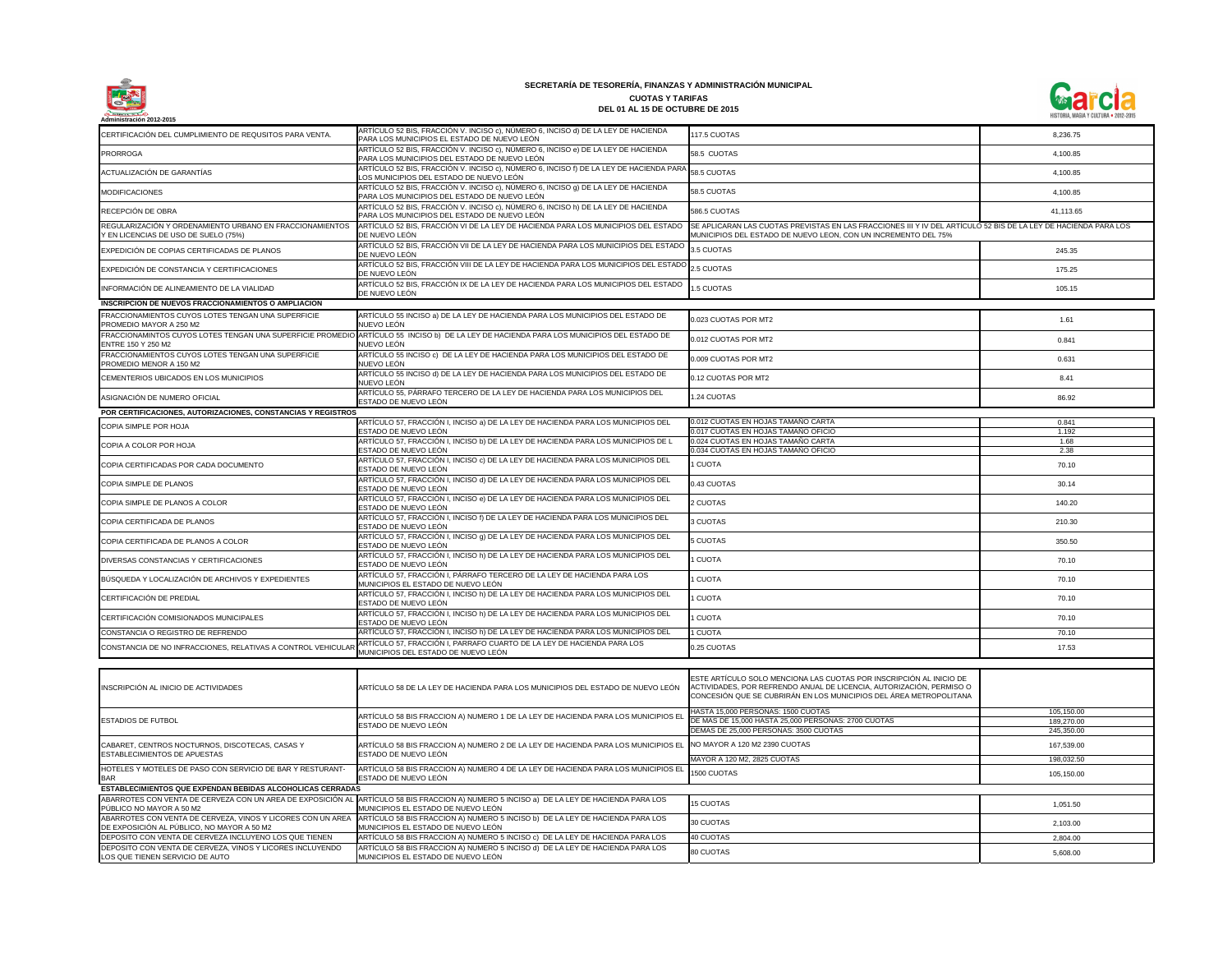

| Administración 2012-2015                                                                             |                                                                                                                                           |                                                                                                                                                                                                                   |                                        |
|------------------------------------------------------------------------------------------------------|-------------------------------------------------------------------------------------------------------------------------------------------|-------------------------------------------------------------------------------------------------------------------------------------------------------------------------------------------------------------------|----------------------------------------|
| CERTIFICACIÓN DEL CUMPLIMIENTO DE REQUSITOS PARA VENTA.                                              | ARTÍCULO 52 BIS, FRACCIÓN V. INCISO c), NÚMERO 6, INCISO d) DE LA LEY DE HACIENDA<br>PARA LOS MUNICIPIOS EL ESTADO DE NUEVO LEÓN          | 117.5 CUOTAS                                                                                                                                                                                                      | 8.236.75                               |
| <b>PRORROGA</b>                                                                                      | ARTÍCULO 52 BIS, FRACCIÓN V. INCISO c), NÚMERO 6, INCISO e) DE LA LEY DE HACIENDA<br>PARA LOS MUNICIPIOS DEL ESTADO DE NUEVO LEÓN         | 58.5 CUOTAS                                                                                                                                                                                                       | 4,100.85                               |
| ACTUALIZACIÓN DE GARANTÍAS                                                                           | ARTÍCULO 52 BIS, FRACCIÓN V. INCISO c), NÚMERO 6, INCISO f) DE LA LEY DE HACIENDA PARA<br>LOS MUNICIPIOS DEL ESTADO DE NUEVO LEÓN         | 58.5 CUOTAS                                                                                                                                                                                                       | 4,100.85                               |
| <b>MODIFICACIONES</b>                                                                                | ARTÍCULO 52 BIS, FRACCIÓN V. INCISO c), NÚMERO 6, INCISO 9) DE LA LEY DE HACIENDA<br>PARA LOS MUNICIPIOS DEL ESTADO DE NUEVO LEÓN         | 58.5 CUOTAS                                                                                                                                                                                                       | 4,100.85                               |
| RECEPCIÓN DE OBRA                                                                                    | ARTÍCULO 52 BIS, FRACCIÓN V. INCISO c), NÚMERO 6, INCISO h) DE LA LEY DE HACIENDA<br>PARA LOS MUNICIPIOS DEL ESTADO DE NUEVO LEÓN         | 586.5 CUOTAS                                                                                                                                                                                                      | 41,113.65                              |
| REGULARIZACIÓN Y ORDENAMIENTO URBANO EN FRACCIONAMIENTOS<br>Y EN LICENCIAS DE USO DE SUELO (75%)     | ARTÍCULO 52 BIS, FRACCIÓN VI DE LA LEY DE HACIENDA PARA LOS MUNICIPIOS DEL ESTADO<br>DE NUEVO LEÓN                                        | SE APLICARAN LAS CUOTAS PREVISTAS EN LAS FRACCIONES III Y IV DEL ARTÍCULO 52 BIS DE LA LEY DE HACIENDA PARA LOS<br>MUNICIPIOS DEL ESTADO DE NUEVO LEON, CON UN INCREMENTO DEL 75%                                 |                                        |
| EXPEDICIÓN DE COPIAS CERTIFICADAS DE PLANOS                                                          | ARTÍCULO 52 BIS, FRACCIÓN VII DE LA LEY DE HACIENDA PARA LOS MUNICIPIOS DEL ESTADO<br>DE NUEVO LEÓN                                       | 3.5 CUOTAS                                                                                                                                                                                                        | 245.35                                 |
| EXPEDICIÓN DE CONSTANCIA Y CERTIFICACIONES                                                           | ARTÍCULO 52 BIS, FRACCIÓN VIII DE LA LEY DE HACIENDA PARA LOS MUNICIPIOS DEL ESTADO <sub>2.5</sub> CUOTAS<br>DE NUEVO LEÓN                |                                                                                                                                                                                                                   | 175.25                                 |
| INFORMACIÓN DE ALINEAMIENTO DE LA VIALIDAD                                                           | ARTÍCULO 52 BIS, FRACCIÓN IX DE LA LEY DE HACIENDA PARA LOS MUNICIPIOS DEL ESTADO<br>DE NUEVO LEÓN                                        | 1.5 CUOTAS                                                                                                                                                                                                        | 105.15                                 |
| INSCRIPCION DE NUEVOS FRACCIONAMIENTOS O AMPLIACION                                                  |                                                                                                                                           |                                                                                                                                                                                                                   |                                        |
| FRACCIONAMIENTOS CUYOS LOTES TENGAN UNA SUPERFICIE<br>PROMEDIO MAYOR A 250 M2                        | ARTÍCULO 55 INCISO a) DE LA LEY DE HACIENDA PARA LOS MUNICIPIOS DEL ESTADO DE<br>NUEVO LEÓN                                               | 0.023 CUOTAS POR MT2                                                                                                                                                                                              | 1.61                                   |
| FRACCIONAMINTOS CUYOS LOTES TENGAN UNA SUPERFICIE PROMEDIO<br><b>ENTRE 150 Y 250 M2</b>              | ARTÍCULO 55 INCISO b) DE LA LEY DE HACIENDA PARA LOS MUNICIPIOS DEL ESTADO DE<br>NUEVO LEÓN                                               | 0.012 CUOTAS POR MT2                                                                                                                                                                                              | 0.841                                  |
| FRACCIONAMIENTOS CUYOS LOTES TENGAN UNA SUPERFICIE<br>PROMEDIO MENOR A 150 M2                        | ARTÍCULO 55 INCISO c) DE LA LEY DE HACIENDA PARA LOS MUNICIPIOS DEL ESTADO DE<br>NUEVO LEÓN                                               | 0.009 CUOTAS POR MT2                                                                                                                                                                                              | 0.631                                  |
| CEMENTERIOS UBICADOS EN LOS MUNICIPIOS                                                               | ARTÍCULO 55 INCISO d) DE LA LEY DE HACIENDA PARA LOS MUNICIPIOS DEL ESTADO DE<br>NUEVO LEÓN                                               | 0.12 CUOTAS POR MT2                                                                                                                                                                                               | 8.41                                   |
| ASIGNACIÓN DE NUMERO OFICIAL                                                                         | ARTÍCULO 55, PÁRRAFO TERCERO DE LA LEY DE HACIENDA PARA LOS MUNICIPIOS DEL<br>ESTADO DE NUEVO LEÓN                                        | 1.24 CUOTAS                                                                                                                                                                                                       | 86.92                                  |
| POR CERTIFICACIONES, AUTORIZACIONES, CONSTANCIAS Y REGISTROS                                         |                                                                                                                                           |                                                                                                                                                                                                                   |                                        |
|                                                                                                      | ARTÍCULO 57, FRACCIÓN I, INCISO a) DE LA LEY DE HACIENDA PARA LOS MUNICIPIOS DEL                                                          | 0.012 CUOTAS EN HOJAS TAMAÑO CARTA                                                                                                                                                                                | 0.841                                  |
| <b>COPIA SIMPLE POR HOJA</b>                                                                         | ESTADO DE NUEVO LEÓN                                                                                                                      | 0.017 CUOTAS EN HOJAS TAMAÑO OFICIO                                                                                                                                                                               | 1.192                                  |
|                                                                                                      | ARTÍCULO 57, FRACCIÓN I, INCISO b) DE LA LEY DE HACIENDA PARA LOS MUNICIPIOS DE L                                                         | 0.024 CUOTAS EN HOJAS TAMAÑO CARTA                                                                                                                                                                                | 1.68                                   |
| COPIA A COLOR POR HOJA                                                                               | ESTADO DE NUEVO LEÓN                                                                                                                      | 0.034 CUOTAS EN HOJAS TAMAÑO OFICIO                                                                                                                                                                               | 2.38                                   |
| COPIA CERTIFICADAS POR CADA DOCUMENTO                                                                | ARTÍCULO 57, FRACCIÓN I, INCISO c) DE LA LEY DE HACIENDA PARA LOS MUNICIPIOS DEL<br>ESTADO DE NUEVO LEÓN                                  | 1 CUOTA                                                                                                                                                                                                           | 70.10                                  |
| COPIA SIMPLE DE PLANOS                                                                               | ARTÍCULO 57, FRACCIÓN I, INCISO d) DE LA LEY DE HACIENDA PARA LOS MUNICIPIOS DEL<br>ESTADO DE NUEVO LEÓN                                  | 0.43 CUOTAS                                                                                                                                                                                                       | 30.14                                  |
| COPIA SIMPLE DE PLANOS A COLOR                                                                       | ARTÍCULO 57, FRACCIÓN I, INCISO e) DE LA LEY DE HACIENDA PARA LOS MUNICIPIOS DEL<br>ESTADO DE NUEVO LEÓN                                  | 2 CUOTAS                                                                                                                                                                                                          | 140.20                                 |
| COPIA CERTIFICADA DE PLANOS                                                                          | ARTÍCULO 57, FRACCIÓN I, INCISO f) DE LA LEY DE HACIENDA PARA LOS MUNICIPIOS DEL<br>ESTADO DE NUEVO LEÓN                                  | 3 CUOTAS                                                                                                                                                                                                          | 210.30                                 |
| COPIA CERTIFICADA DE PLANOS A COLOR                                                                  | ARTÍCULO 57, FRACCIÓN I, INCISO g) DE LA LEY DE HACIENDA PARA LOS MUNICIPIOS DEL<br>ESTADO DE NUEVO LEÓN                                  | 5 CUOTAS                                                                                                                                                                                                          | 350.50                                 |
| DIVERSAS CONSTANCIAS Y CERTIFICACIONES                                                               | ARTÍCULO 57, FRACCIÓN I, INCISO h) DE LA LEY DE HACIENDA PARA LOS MUNICIPIOS DEL<br>ESTADO DE NUEVO LEÓN                                  | <b>CUOTA</b>                                                                                                                                                                                                      | 70.10                                  |
| BÚSQUEDA Y LOCALIZACIÓN DE ARCHIVOS Y EXPEDIENTES                                                    | ARTÍCULO 57, FRACCIÓN I, PÁRRAFO TERCERO DE LA LEY DE HACIENDA PARA LOS<br>MUNICIPIOS EL ESTADO DE NUEVO LEÓN                             | 1 CUOTA                                                                                                                                                                                                           | 70.10                                  |
| CERTIFICACIÓN DE PREDIAL                                                                             | ARTÍCULO 57, FRACCIÓN I, INCISO h) DE LA LEY DE HACIENDA PARA LOS MUNICIPIOS DEL<br>ESTADO DE NUEVO LEÓN                                  | 1 CUOTA                                                                                                                                                                                                           | 70.10                                  |
| CERTIFICACIÓN COMISIONADOS MUNICIPALES                                                               | ARTÍCULO 57, FRACCIÓN I, INCISO h) DE LA LEY DE HACIENDA PARA LOS MUNICIPIOS DEL<br>ESTADO DE NUEVO LEÓN                                  | 1 CUOTA                                                                                                                                                                                                           | 70.10                                  |
| CONSTANCIA O REGISTRO DE REFRENDO                                                                    | ARTÍCULO 57, FRACCIÓN I, INCISO h) DE LA LEY DE HACIENDA PARA LOS MUNICIPIOS DEL                                                          | 1 CUOTA                                                                                                                                                                                                           | 70.10                                  |
| CONSTANCIA DE NO INFRACCIONES, RELATIVAS A CONTROL VEHICULAR                                         | ARTÍCULO 57, FRACCIÓN I, PARRAFO CUARTO DE LA LEY DE HACIENDA PARA LOS<br>MUNICIPIOS DEL ESTADO DE NUEVO LEÓN                             | 0.25 CUOTAS                                                                                                                                                                                                       | 17.53                                  |
|                                                                                                      |                                                                                                                                           |                                                                                                                                                                                                                   |                                        |
| INSCRIPCIÓN AL INICIO DE ACTIVIDADES                                                                 | ARTÍCULO 58 DE LA LEY DE HACIENDA PARA LOS MUNICIPIOS DEL ESTADO DE NUEVO LEÓN                                                            | ESTE ARTÍCULO SOLO MENCIONA LAS CUOTAS POR INSCRIPCIÓN AL INICIO DE<br>ACTIVIDADES, POR REFRENDO ANUAL DE LICENCIA, AUTORIZACIÓN, PERMISO O<br>CONCESIÓN QUE SE CUBRIRÁN EN LOS MUNICIPIOS DEL ÁREA METROPOLITANA |                                        |
| <b>ESTADIOS DE FUTBOL</b>                                                                            | ARTÍCULO 58 BIS FRACCION A) NUMERO 1 DE LA LEY DE HACIENDA PARA LOS MUNICIPIOS EL<br>ESTADO DE NUEVO LEÓN                                 | HASTA 15,000 PERSONAS: 1500 CUOTAS<br>DE MAS DE 15,000 HASTA 25,000 PERSONAS: 2700 CUOTAS<br>DEMAS DE 25,000 PERSONAS: 3500 CUOTAS                                                                                | 105,150.00<br>189.270.00<br>245,350.00 |
| CABARET, CENTROS NOCTURNOS, DISCOTECAS, CASAS Y<br>ESTABLECIMIENTOS DE APUESTAS                      | ARTÍCULO 58 BIS FRACCION A) NUMERO 2 DE LA LEY DE HACIENDA PARA LOS MUNICIPIOS EL<br>ESTADO DE NUEVO LEÓN                                 | NO MAYOR A 120 M2 2390 CUOTAS<br>MAYOR A 120 M2, 2825 CUOTAS                                                                                                                                                      | 167,539.00<br>198,032.50               |
| HOTELES Y MOTELES DE PASO CON SERVICIO DE BAR Y RESTURANT-<br><b>BAR</b>                             | ARTÍCULO 58 BIS FRACCION A) NUMERO 4 DE LA LEY DE HACIENDA PARA LOS MUNICIPIOS EL<br>ESTADO DE NUEVO LEÓN                                 | 1500 CUOTAS                                                                                                                                                                                                       | 105,150.00                             |
| ESTABLECIMIENTOS QUE EXPENDAN BEBIDAS ALCOHOLICAS CERRADAS                                           |                                                                                                                                           |                                                                                                                                                                                                                   |                                        |
|                                                                                                      | ABARROTES CON VENTA DE CERVEZA CON UN AREA DE EXPOSICIÓN AL ARTÍCULO 58 BIS FRACCION A) NUMERO 5 INCISO a) DE LA LEY DE HACIENDA PARA LOS |                                                                                                                                                                                                                   |                                        |
| PÚBLICO NO MAYOR A 50 M2<br>ABARROTES CON VENTA DE CERVEZA, VINOS Y LICORES CON UN AREA              | MUNICIPIOS EL ESTADO DE NUEVO LEÓN<br>ARTÍCULO 58 BIS FRACCION A) NUMERO 5 INCISO b) DE LA LEY DE HACIENDA PARA LOS                       | <b>15 CUOTAS</b>                                                                                                                                                                                                  | 1,051.50                               |
| DE EXPOSICIÓN AL PÚBLICO, NO MAYOR A 50 M2<br>DEPOSITO CON VENTA DE CERVEZA INCLUYENO LOS QUE TIENEN | MUNICIPIOS EL ESTADO DE NUEVO LEÓN<br>ARTÍCULO 58 BIS FRACCION A) NUMERO 5 INCISO c) DE LA LEY DE HACIENDA PARA LOS                       | 30 CUOTAS                                                                                                                                                                                                         | 2,103.00                               |
|                                                                                                      |                                                                                                                                           | 40 CUOTAS                                                                                                                                                                                                         | 2,804.00                               |
| DEPOSITO CON VENTA DE CERVEZA, VINOS Y LICORES INCLUYENDO<br>LOS QUE TIENEN SERVICIO DE AUTO         | ARTÍCULO 58 BIS FRACCION A) NUMERO 5 INCISO d) DE LA LEY DE HACIENDA PARA LOS<br>MUNICIPIOS EL ESTADO DE NUEVO LEÓN                       | 80 CUOTAS                                                                                                                                                                                                         | 5,608.00                               |

| דווט ובבבט דוואט ובבבט טב ו תטט טטוז טבולגונטוט טב טמול דולבט וטולאזי<br><b>BAR</b>          | ANTICOLOGIC DI INNOVAÇION A) NOMENO 4 DE EN EL I DE INNOENDATI ANA EOS MONICII 100 EL 1500 CUOTAS<br><b>ESTADO DE NUEVO LEÓN</b>                                                |           |
|----------------------------------------------------------------------------------------------|---------------------------------------------------------------------------------------------------------------------------------------------------------------------------------|-----------|
| <b>ESTABLECIMIENTOS QUE EXPENDAN BEBIDAS ALCOHOLICAS CERRADAS</b>                            |                                                                                                                                                                                 |           |
| <b>PUBLICO NO MAYOR A 50 M2</b>                                                              | ABARROTES CON VENTA DE CERVEZA CON UN AREA DE EXPOSICIÓN AL ARTÍCULO 58 BIS FRACCION A) NUMERO 5 INCISO a) DE LA LEY DE HACIENDA PARA LOS<br>MUNICIPIOS EL ESTADO DE NUEVO LEÓN | 15 CUOTAS |
| DE EXPOSICIÓN AL PÚBLICO. NO MAYOR A 50 M2                                                   | ABARROTES CON VENTA DE CERVEZA, VINOS Y LICORES CON UN AREA ARTÍCULO 58 BIS FRACCION A) NUMERO 5 INCISO b) DE LA LEY DE HACIENDA PARA LOS<br>MUNICIPIOS EL ESTADO DE NUEVO LEÓN | 30 CUOTAS |
| <b>IDEPOSITO CON VENTA DE CERVEZA INCLUYENO LOS QUE TIENEN</b>                               | ARTÍCULO 58 BIS FRACCION A) NUMERO 5 INCISO c) DE LA LEY DE HACIENDA PARA LOS                                                                                                   | 40 CUOTAS |
| DEPOSITO CON VENTA DE CERVEZA, VINOS Y LICORES INCLUYENDO<br>LOS QUE TIENEN SERVICIO DE AUTO | ARTÍCULO 58 BIS FRACCION A) NUMERO 5 INCISO d) DE LA LEY DE HACIENDA PARA LOS<br>IMUNICIPIOS EL ESTADO DE NUEVO LEÓN                                                            | 80 CUOTAS |

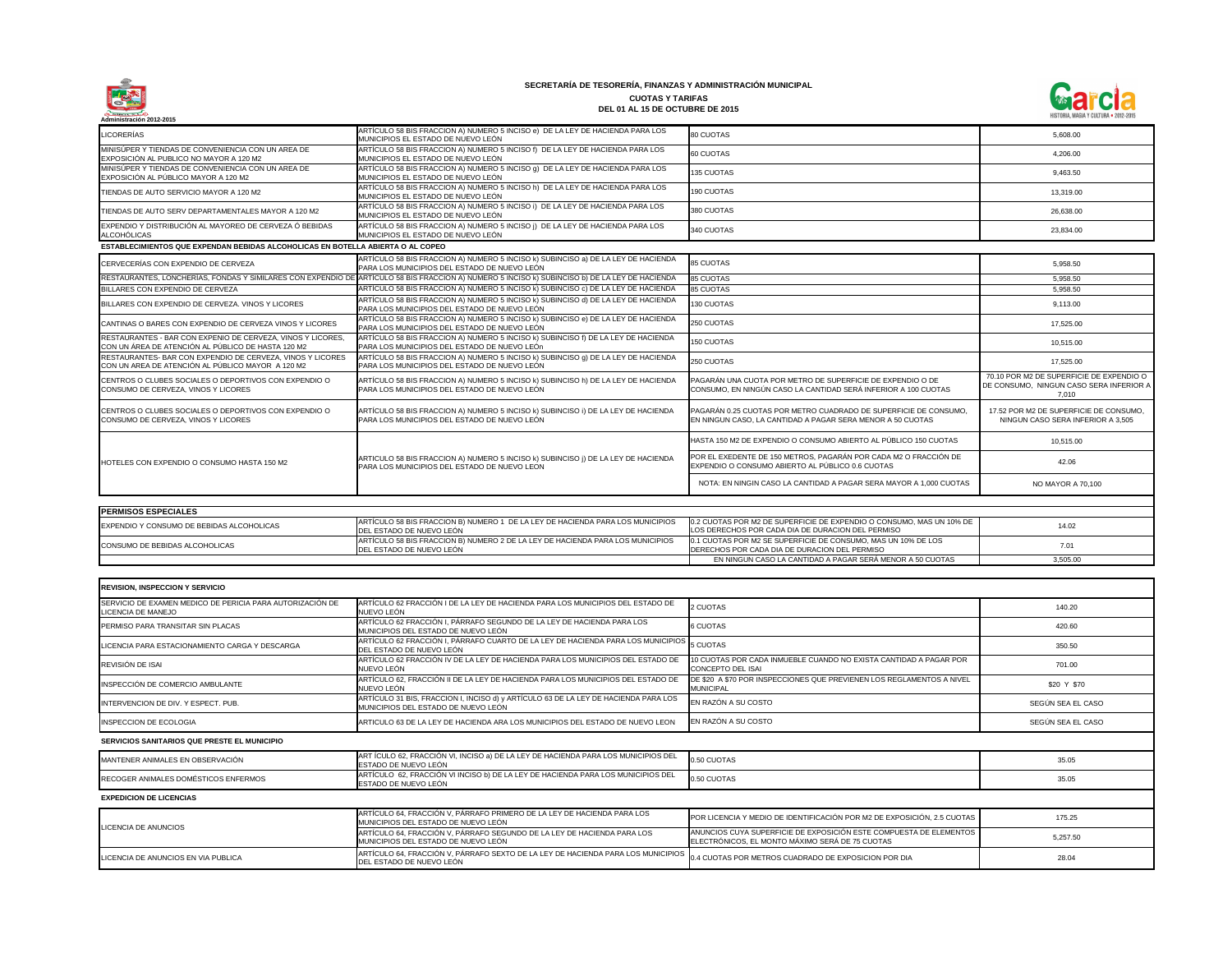

| Administración 2012-2015                                                                                          |                                                                                                                                                |                                                                                                                                |                                                                                              |
|-------------------------------------------------------------------------------------------------------------------|------------------------------------------------------------------------------------------------------------------------------------------------|--------------------------------------------------------------------------------------------------------------------------------|----------------------------------------------------------------------------------------------|
| <b>LICORERÍAS</b>                                                                                                 | ARTÍCULO 58 BIS FRACCION A) NUMERO 5 INCISO e) DE LA LEY DE HACIENDA PARA LOS<br>MUNICIPIOS EL ESTADO DE NUEVO LEÓN                            | 80 CUOTAS                                                                                                                      | 5,608.00                                                                                     |
| MINISÚPER Y TIENDAS DE CONVENIENCIA CON UN AREA DE<br>EXPOSICIÓN AL PUBLICO NO MAYOR A 120 M2                     | ARTÍCULO 58 BIS FRACCION A) NUMERO 5 INCISO f) DE LA LEY DE HACIENDA PARA LOS<br>MUNICIPIOS EL ESTADO DE NUEVO LEÓN                            | 60 CUOTAS                                                                                                                      | 4.206.00                                                                                     |
| MINISÚPER Y TIENDAS DE CONVENIENCIA CON UN AREA DE<br>EXPOSICIÓN AL PÚBLICO MAYOR A 120 M2                        | ARTÍCULO 58 BIS FRACCION A) NUMERO 5 INCISO 9) DE LA LEY DE HACIENDA PARA LOS<br>MUNICIPIOS EL ESTADO DE NUEVO LEÓN                            | 135 CUOTAS                                                                                                                     | 9,463.50                                                                                     |
| TIENDAS DE AUTO SERVICIO MAYOR A 120 M2                                                                           | ARTÍCULO 58 BIS FRACCION A) NUMERO 5 INCISO h) DE LA LEY DE HACIENDA PARA LOS<br>MUNICIPIOS EL ESTADO DE NUEVO LEÓN                            | 190 CUOTAS                                                                                                                     | 13,319.00                                                                                    |
| TIENDAS DE AUTO SERV DEPARTAMENTALES MAYOR A 120 M2                                                               | ARTÍCULO 58 BIS FRACCION A) NUMERO 5 INCISO i) DE LA LEY DE HACIENDA PARA LOS<br>MUNICIPIOS EL ESTADO DE NUEVO LEÓN                            | 380 CUOTAS                                                                                                                     | 26,638.00                                                                                    |
| EXPENDIO Y DISTRIBUCIÓN AL MAYOREO DE CERVEZA Ó BEBIDAS<br><b>ALCOHÓLICAS</b>                                     | ARTÍCULO 58 BIS FRACCION A) NUMERO 5 INCISO j) DE LA LEY DE HACIENDA PARA LOS<br>MUNICIPIOS EL ESTADO DE NUEVO LEÓN                            | 340 CUOTAS                                                                                                                     | 23,834.00                                                                                    |
| ESTABLECIMIENTOS QUE EXPENDAN BEBIDAS ALCOHOLICAS EN BOTELLA ABIERTA O AL COPEO                                   |                                                                                                                                                |                                                                                                                                |                                                                                              |
| CERVECERÍAS CON EXPENDIO DE CERVEZA                                                                               | ARTÍCULO 58 BIS FRACCION A) NUMERO 5 INCISO k) SUBINCISO a) DE LA LEY DE HACIENDA<br>PARA LOS MUNICIPIOS DEL ESTADO DE NUEVO LEÓN              | <b>85 CUOTAS</b>                                                                                                               | 5,958.50                                                                                     |
|                                                                                                                   | RESTAURANTES, LONCHERÍAS, FONDAS Y SIMILARES CON EXPENDIO DE ARTÍCULO 58 BIS FRACCION A) NUMERO 5 INCISO k) SUBINCISO b) DE LA LEY DE HACIENDA | <b>85 CUOTAS</b>                                                                                                               | 5,958.50                                                                                     |
| BILLARES CON EXPENDIO DE CERVEZA                                                                                  | ARTÍCULO 58 BIS FRACCION A) NUMERO 5 INCISO k) SUBINCISO c) DE LA LEY DE HACIENDA                                                              | 85 CUOTAS                                                                                                                      | 5,958.50                                                                                     |
| BILLARES CON EXPENDIO DE CERVEZA. VINOS Y LICORES                                                                 | ARTÍCULO 58 BIS FRACCION A) NUMERO 5 INCISO k) SUBINCISO d) DE LA LEY DE HACIENDA<br>PARA LOS MUNICIPIOS DEL ESTADO DE NUEVO LEÓN              | <b>130 CUOTAS</b>                                                                                                              | 9,113.00                                                                                     |
| CANTINAS O BARES CON EXPENDIO DE CERVEZA VINOS Y LICORES                                                          | ARTÍCULO 58 BIS FRACCION A) NUMERO 5 INCISO k) SUBINCISO e) DE LA LEY DE HACIENDA<br>PARA LOS MUNICIPIOS DEL ESTADO DE NUEVO LEÓN              | 250 CUOTAS                                                                                                                     | 17,525.00                                                                                    |
| RESTAURANTES - BAR CON EXPENIO DE CERVEZA, VINOS Y LICORES,<br>CON UN ÁREA DE ATENCIÓN AL PÚBLICO DE HASTA 120 M2 | ARTÍCULO 58 BIS FRACCION A) NUMERO 5 INCISO k) SUBINCISO f) DE LA LEY DE HACIENDA<br>PARA LOS MUNICIPIOS DEL ESTADO DE NUEVO LEÓN              | 150 CUOTAS                                                                                                                     | 10,515.00                                                                                    |
| RESTAURANTES- BAR CON EXPENDIO DE CERVEZA, VINOS Y LICORES<br>CON UN AREA DE ATENCIÓN AL PÚBLICO MAYOR A 120 M2   | ARTÍCULO 58 BIS FRACCION A) NUMERO 5 INCISO k) SUBINCISO g) DE LA LEY DE HACIENDA<br>PARA LOS MUNICIPIOS DEL ESTADO DE NUEVO LEÓN              | 250 CUOTAS                                                                                                                     | 17,525.00                                                                                    |
| CENTROS O CLUBES SOCIALES O DEPORTIVOS CON EXPENDIO O<br>CONSUMO DE CERVEZA, VINOS Y LICORES                      | ARTÍCULO 58 BIS FRACCION A) NUMERO 5 INCISO k) SUBINCISO h) DE LA LEY DE HACIENDA<br>PARA LOS MUNICIPIOS DEL ESTADO DE NUEVO LEÓN              | PAGARÁN UNA CUOTA POR METRO DE SUPERFICIE DE EXPENDIO O DE<br>CONSUMO, EN NINGÚN CASO LA CANTIDAD SERÁ INFERIOR A 100 CUOTAS   | 70.10 POR M2 DE SUPERFICIE DE EXPENDIO O<br>DE CONSUMO, NINGUN CASO SERA INFERIOR A<br>7,010 |
| CENTROS O CLUBES SOCIALES O DEPORTIVOS CON EXPENDIO O<br>CONSUMO DE CERVEZA, VINOS Y LICORES                      | ARTÍCULO 58 BIS FRACCION A) NUMERO 5 INCISO k) SUBINCISO i) DE LA LEY DE HACIENDA<br>PARA LOS MUNICIPIOS DEL ESTADO DE NUEVO LEÓN              | PAGARÁN 0.25 CUOTAS POR METRO CUADRADO DE SUPERFICIE DE CONSUMO,<br>EN NINGUN CASO, LA CANTIDAD A PAGAR SERA MENOR A 50 CUOTAS | 17.52 POR M2 DE SUPERFICIE DE CONSUMO,<br>NINGUN CASO SERA INFERIOR A 3,505                  |
|                                                                                                                   |                                                                                                                                                | HASTA 150 M2 DE EXPENDIO O CONSUMO ABIERTO AL PÚBLICO 150 CUOTAS                                                               | 10,515.00                                                                                    |
| HOTELES CON EXPENDIO O CONSUMO HASTA 150 M2                                                                       | ARTICULO 58 BIS FRACCION A) NUMERO 5 INCISO k) SUBINCISO j) DE LA LEY DE HACIENDA<br>PARA LOS MUNICIPIOS DEL ESTADO DE NUEVO LEON              | POR EL EXEDENTE DE 150 METROS, PAGARÁN POR CADA M2 O FRACCIÓN DE<br>EXPENDIO O CONSUMO ABIERTO AL PÚBLICO 0.6 CUOTAS           | 42.06                                                                                        |
|                                                                                                                   |                                                                                                                                                | NOTA: EN NINGIN CASO LA CANTIDAD A PAGAR SERA MAYOR A 1,000 CUOTAS                                                             | NO MAYOR A 70,100                                                                            |
| <b>PERMISOS ESPECIALES</b>                                                                                        |                                                                                                                                                |                                                                                                                                |                                                                                              |
| EXPENDIO Y CONSUMO DE BEBIDAS ALCOHOLICAS                                                                         | ARTÍCULO 58 BIS FRACCION B) NUMERO 1 DE LA LEY DE HACIENDA PARA LOS MUNICIPIOS<br>DEL ESTADO DE NUEVO LEÓN                                     | 0.2 CUOTAS POR M2 DE SUPERFICIE DE EXPENDIO O CONSUMO, MAS UN 10% DE<br>LOS DERECHOS POR CADA DIA DE DURACION DEL PERMISO      | 14.02                                                                                        |
| CONSUMO DE BEBIDAS ALCOHOLICAS                                                                                    | ARTÍCULO 58 BIS FRACCION B) NUMERO 2 DE LA LEY DE HACIENDA PARA LOS MUNICIPIOS<br>DEL ESTADO DE NUEVO LEÓN                                     | 0.1 CUOTAS POR M2 SE SUPERFICIE DE CONSUMO, MAS UN 10% DE LOS<br>DERECHOS POR CADA DIA DE DURACION DEL PERMISO                 | 7.01                                                                                         |
|                                                                                                                   |                                                                                                                                                | EN NINGUN CASO LA CANTIDAD A PAGAR SERÁ MENOR A 50 CUOTAS                                                                      | 3,505.00                                                                                     |
|                                                                                                                   |                                                                                                                                                |                                                                                                                                |                                                                                              |

| CERVECERÍAS CON EXPENDIO DE CERVEZA                                                                                      | TARTICULO 58 BIS FRACCION A) NUMERO 5 INCISO K) SUBINCISO 8) DE LA LEY DE HACIENDA<br>PARA LOS MUNICIPIOS DEL ESTADO DE NUEVO LEÓN | <b>85 CUOTAS</b>                                                                                                               | 5,958.50                                                                                     |
|--------------------------------------------------------------------------------------------------------------------------|------------------------------------------------------------------------------------------------------------------------------------|--------------------------------------------------------------------------------------------------------------------------------|----------------------------------------------------------------------------------------------|
| RESTAURANTES, LONCHERÍAS, FONDAS Y SIMILARES CON EXPENDIO DE                                                             | ARTÍCULO 58 BIS FRACCION A) NUMERO 5 INCISO k) SUBINCISO b) DE LA LEY DE HACIENDA                                                  | 85 CUOTAS                                                                                                                      | 5.958.50                                                                                     |
| BILLARES CON EXPENDIO DE CERVEZA                                                                                         | ARTÍCULO 58 BIS FRACCION A) NUMERO 5 INCISO k) SUBINCISO c) DE LA LEY DE HACIENDA                                                  | <b>85 CUOTAS</b>                                                                                                               | 5.958.50                                                                                     |
| BILLARES CON EXPENDIO DE CERVEZA. VINOS Y LICORES                                                                        | ARTÍCULO 58 BIS FRACCION A) NUMERO 5 INCISO k) SUBINCISO d) DE LA LEY DE HACIENDA<br>PARA LOS MUNICIPIOS DEL ESTADO DE NUEVO LEÓN  | 130 CUOTAS                                                                                                                     | 9,113.00                                                                                     |
| CANTINAS O BARES CON EXPENDIO DE CERVEZA VINOS Y LICORES                                                                 | ARTÍCULO 58 BIS FRACCION A) NUMERO 5 INCISO k) SUBINCISO e) DE LA LEY DE HACIENDA<br>PARA LOS MUNICIPIOS DEL ESTADO DE NUEVO LEÓN  | 250 CUOTAS                                                                                                                     | 17,525.00                                                                                    |
| <b>RESTAURANTES - BAR CON EXPENIO DE CERVEZA. VINOS Y LICORES.</b><br>CON UN ÁREA DE ATENCIÓN AL PÚBLICO DE HASTA 120 M2 | ARTÍCULO 58 BIS FRACCION A) NUMERO 5 INCISO k) SUBINCISO f) DE LA LEY DE HACIENDA<br>PARA LOS MUNICIPIOS DEL ESTADO DE NUEVO LEÓN  | <b>150 CUOTAS</b>                                                                                                              | 10,515.00                                                                                    |
| RESTAURANTES- BAR CON EXPENDIO DE CERVEZA, VINOS Y LICORES<br>CON UN AREA DE ATENCIÓN AL PÚBLICO MAYOR A 120 M2          | ARTÍCULO 58 BIS FRACCION A) NUMERO 5 INCISO k) SUBINCISO g) DE LA LEY DE HACIENDA<br>PARA LOS MUNICIPIOS DEL ESTADO DE NUEVO LEÓN  | 250 CUOTAS                                                                                                                     | 17,525.00                                                                                    |
| CENTROS O CLUBES SOCIALES O DEPORTIVOS CON EXPENDIO O<br>CONSUMO DE CERVEZA, VINOS Y LICORES                             | ARTÍCULO 58 BIS FRACCION A) NUMERO 5 INCISO k) SUBINCISO h) DE LA LEY DE HACIENDA<br>PARA LOS MUNICIPIOS DEL ESTADO DE NUEVO LEÓN  | PAGARÁN UNA CUOTA POR METRO DE SUPERFICIE DE EXPENDIO O DE<br>CONSUMO, EN NINGÚN CASO LA CANTIDAD SERÁ INFERIOR A 100 CUOTAS   | 70.10 POR M2 DE SUPERFICIE DE EXPENDIO O<br>DE CONSUMO, NINGUN CASO SERA INFERIOR A<br>7,010 |
| CENTROS O CLUBES SOCIALES O DEPORTIVOS CON EXPENDIO O<br>CONSUMO DE CERVEZA, VINOS Y LICORES                             | ARTÍCULO 58 BIS FRACCION A) NUMERO 5 INCISO k) SUBINCISO i) DE LA LEY DE HACIENDA<br>PARA LOS MUNICIPIOS DEL ESTADO DE NUEVO LEÓN  | PAGARÁN 0.25 CUOTAS POR METRO CUADRADO DE SUPERFICIE DE CONSUMO,<br>EN NINGUN CASO, LA CANTIDAD A PAGAR SERA MENOR A 50 CUOTAS | 17.52 POR M2 DE SUPERFICIE DE CONSUMO.<br>NINGUN CASO SERA INFERIOR A 3.505                  |
|                                                                                                                          |                                                                                                                                    | HASTA 150 M2 DE EXPENDIO O CONSUMO ABIERTO AL PÚBLICO 150 CUOTAS                                                               | 10,515.00                                                                                    |
| HOTELES CON EXPENDIO O CONSUMO HASTA 150 M2                                                                              | ARTICULO 58 BIS FRACCION A) NUMERO 5 INCISO k) SUBINCISO j) DE LA LEY DE HACIENDA<br>PARA LOS MUNICIPIOS DEL ESTADO DE NUEVO LEON  | POR EL EXEDENTE DE 150 METROS, PAGARÁN POR CADA M2 O FRACCIÓN DE<br>EXPENDIO O CONSUMO ABIERTO AL PÚBLICO 0.6 CUOTAS           | 42.06                                                                                        |
|                                                                                                                          |                                                                                                                                    | NOTA: EN NINGIN CASO LA CANTIDAD A PAGAR SERA MAYOR A 1,000 CUOTAS                                                             | NO MAYOR A 70,100                                                                            |
| <b>PERMISOS ESPECIALES</b>                                                                                               |                                                                                                                                    |                                                                                                                                |                                                                                              |
|                                                                                                                          | ARTÍCULO 58 BIS FRACCION B) NUMERO 1 DE LA LEY DE HACIENDA PARA LOS MUNICIPIOS                                                     | 0.2 CUOTAS POR M2 DE SUPERFICIE DE EXPENDIO O CONSUMO, MAS UN 10% DE                                                           |                                                                                              |
| EXPENDIO Y CONSUMO DE BEBIDAS ALCOHOLICAS                                                                                | DEL ESTADO DE NUEVO LEÓN                                                                                                           | LOS DERECHOS POR CADA DIA DE DURACION DEL PERMISO                                                                              | 14.02                                                                                        |
| CONSUMO DE BEBIDAS ALCOHOLICAS                                                                                           | ARTÍCULO 58 BIS FRACCION B) NUMERO 2 DE LA LEY DE HACIENDA PARA LOS MUNICIPIOS<br>DEL ESTADO DE NUEVO LEÓN                         | 0.1 CUOTAS POR M2 SE SUPERFICIE DE CONSUMO, MAS UN 10% DE LOS<br>DERECHOS POR CADA DIA DE DURACION DEL PERMISO                 | 7.01                                                                                         |
|                                                                                                                          |                                                                                                                                    | EN NINGUN CASO LA CANTIDAD A PAGAR SERÁ MENOR A 50 CUOTAS                                                                      | 3,505.00                                                                                     |

| <b>IREVISION, INSPECCION Y SERVICIO</b>                                                |                                                                                                                            |                                                                                                                       |                   |
|----------------------------------------------------------------------------------------|----------------------------------------------------------------------------------------------------------------------------|-----------------------------------------------------------------------------------------------------------------------|-------------------|
| SERVICIO DE EXAMEN MEDICO DE PERICIA PARA AUTORIZACIÓN DE<br><b>LICENCIA DE MANEJO</b> | ARTÍCULO 62 FRACCIÓN I DE LA LEY DE HACIENDA PARA LOS MUNICIPIOS DEL ESTADO DE<br>NUEVO LEÓN                               | 2 CUOTAS                                                                                                              | 140.20            |
| <b>PERMISO PARA TRANSITAR SIN PLACAS</b>                                               | ARTÍCULO 62 FRACCIÓN I, PÁRRAFO SEGUNDO DE LA LEY DE HACIENDA PARA LOS<br>MUNICIPIOS DEL ESTADO DE NUEVO LEÓN              | 6 CUOTAS                                                                                                              | 420.60            |
| LICENCIA PARA ESTACIONAMIENTO CARGA Y DESCARGA                                         | ARTÍCULO 62 FRACCIÓN I, PÁRRAFO CUARTO DE LA LEY DE HACIENDA PARA LOS MUNICIPIOS 5 CUOTAS<br>DEL ESTADO DE NUEVO LEÓN      |                                                                                                                       | 350.50            |
| <b>REVISIÓN DE ISAI</b>                                                                | ARTÍCULO 62 FRACCIÓN IV DE LA LEY DE HACIENDA PARA LOS MUNICIPIOS DEL ESTADO DE<br>NUEVO LEÓN                              | 10 CUOTAS POR CADA INMUEBLE CUANDO NO EXISTA CANTIDAD A PAGAR POR<br>CONCEPTO DEL ISAI                                | 701.00            |
| INSPECCIÓN DE COMERCIO AMBULANTE                                                       | ARTÍCULO 62, FRACCIÓN II DE LA LEY DE HACIENDA PARA LOS MUNICIPIOS DEL ESTADO DE<br>NUEVO LEÓN                             | DE \$20 A \$70 POR INSPECCIONES QUE PREVIENEN LOS REGLAMENTOS A NIVEL<br><b>MUNICIPAL</b>                             | \$20 Y \$70       |
| INTERVENCION DE DIV. Y ESPECT. PUB.                                                    | ARTÍCULO 31 BIS, FRACCION I, INCISO d) y ARTÍCULO 63 DE LA LEY DE HACIENDA PARA LOS<br>MUNICIPIOS DEL ESTADO DE NUEVO LEÓN | EN RAZÓN A SU COSTO                                                                                                   | SEGÚN SEA EL CASO |
| <b>INSPECCION DE ECOLOGIA</b>                                                          | ARTICULO 63 DE LA LEY DE HACIENDA ARA LOS MUNICIPIOS DEL ESTADO DE NUEVO LEON                                              | EN RAZÓN A SU COSTO                                                                                                   | SEGÚN SEA EL CASO |
| SERVICIOS SANITARIOS QUE PRESTE EL MUNICIPIO                                           |                                                                                                                            |                                                                                                                       |                   |
| MANTENER ANIMALES EN OBSERVACIÓN                                                       | ART ÍCULO 62, FRACCIÓN VI, INCISO a) DE LA LEY DE HACIENDA PARA LOS MUNICIPIOS DEL<br>ESTADO DE NUEVO LEÓN                 | 0.50 CUOTAS                                                                                                           | 35.05             |
| RECOGER ANIMALES DOMÉSTICOS ENFERMOS                                                   | ARTÍCULO 62, FRACCIÓN VI INCISO b) DE LA LEY DE HACIENDA PARA LOS MUNICIPIOS DEL<br>ESTADO DE NUEVO LEÓN                   | 0.50 CUOTAS                                                                                                           | 35.05             |
| <b>EXPEDICION DE LICENCIAS</b>                                                         |                                                                                                                            |                                                                                                                       |                   |
|                                                                                        | ARTÍCULO 64, FRACCIÓN V, PÁRRAFO PRIMERO DE LA LEY DE HACIENDA PARA LOS<br>MUNICIPIOS DEL ESTADO DE NUEVO LEÓN             | POR LICENCIA Y MEDIO DE IDENTIFICACIÓN POR M2 DE EXPOSICIÓN, 2.5 CUOTAS                                               | 175.25            |
| LICENCIA DE ANUNCIOS                                                                   | ARTÍCULO 64, FRACCIÓN V, PÁRRAFO SEGUNDO DE LA LEY DE HACIENDA PARA LOS<br>MUNICIPIOS DEL ESTADO DE NUEVO LEÓN             | ANUNCIOS CUYA SUPERFICIE DE EXPOSICIÓN ESTE COMPUESTA DE ELEMENTOS<br>ELECTRÓNICOS, EL MONTO MÁXIMO SERÁ DE 75 CUOTAS | 5,257.50          |
| LICENCIA DE ANUNCIOS EN VIA PUBLICA                                                    | ARTÍCULO 64, FRACCIÓN V, PÁRRAFO SEXTO DE LA LEY DE HACIENDA PARA LOS MUNICIPIOS<br>DEL ESTADO DE NUEVO LEÓN               | 0.4 CUOTAS POR METROS CUADRADO DE EXPOSICION POR DIA                                                                  | 28.04             |

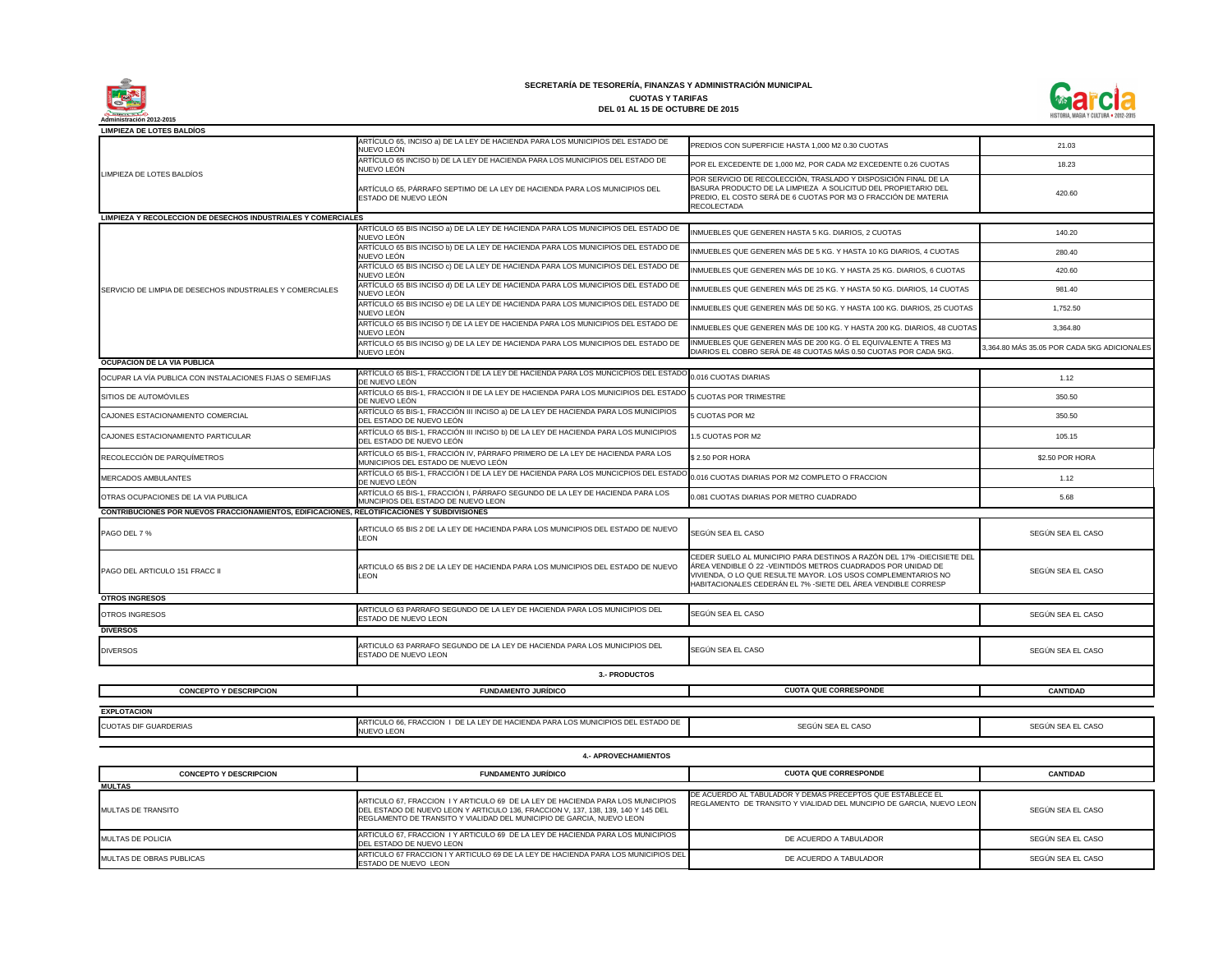

**1.- IMPUESTOS** ARTÍCULO 65, INCISO a) DE LA LEY DE HACIENDA PARA LOS MUNICIPIOS DEL ESTADO DE NUEVO LEÓN ARTÍCULO 65 INCISO b) DE LA LEY DE HACIENDA PARA LOS MUNICIPIOS DEL ESTADO DE NUEVO LEÓN ARTÍCULO 65, PÁRRAFO SEPTIMO DE LA LEY DE HACIENDA PARA LOS MUNICIPIOS DEL ESTADO DE NUEVO LEÓN ARTÍCULO 65 BIS INCISO a) DE LA LEY DE HACIENDA PARA LOS MUNICIPIOS DEL ESTADO DE NUEVO LEÓN ARTÍCULO 65 BIS INCISO b) DE LA LEY DE HACIENDA PARA LOS MUNICIPIOS DEL ESTADO DE NUEVO LEÓN ARTÍCULO 65 BIS INCISO c) DE LA LEY DE HACIENDA PARA LOS MUNICIPIOS DEL ESTADO DE NUEVO LEÓN ARTÍCULO 65 BIS INCISO d) DE LA LEY DE HACIENDA PARA LOS MUNICIPIOS DEL ESTADO DE NUEVO LEÓN ARTÍCULO 65 BIS INCISO e) DE LA LEY DE HACIENDA PARA LOS MUNICIPIOS DEL ESTADO DE NUEVO LEÓN ARTÍCULO 65 BIS INCISO f) DE LA LEY DE HACIENDA PARA LOS MUNICIPIOS DEL ESTADO DE NUEVO LEÓN ARTÍCULO 65 BIS INCISO g) DE LA LEY DE HACIENDA PARA LOS MUNICIPIOS DEL ESTADO DE NUEVO LEÓN OCUPAR LA VÍA PUBLICA CON INSTALACIONES FIJAS O SEMIFIJAS ARTÍCULO 65 BIS-1, FRACCIÓN I DE LA LEY DE HACIENDA PARA LOS MUNCICPIOS DEL ESTAD DE NUEVO LEÓN SITIOS DE AUTOMÓVILES ARTÍCULO 65 BIS-1, FRACCIÓN II DE LA LEY DE HACIENDA PARA LOS MUNICIPIOS DEL ESTADO DE NUEVO LEÓN CAJONES ESTACIONAMIENTO COMERCIAL ARTÍCULO 65 BIS-1, FRACCIÓN III INCISO a) DE LA LEY DE HACIENDA PARA LOS MUNICIPIOS DEL ESTADO DE NUEVO LEÓN CAJONES ESTACIONAMIENTO PARTICULAR **ARTÍCULO 65 BIS-1, FRACCIÓN III INCISO** b) DE LA LEY DE HACIENDA PARA LOS MUNICIPIOS DEL ESTADO DE NUEVO LEÓN RECOLECCIÓN DE PARQUÍMETROS **ARTÍCULO 65 BIS-1, FRACCIÓN IV, PÁRRAFO PRIMERO** DE LA LEY DE HACIENDA PARA LOS MUNICIPIOS DEL ESTADO DE NUEVO LEÓN ARTÍCULO 65 BIS-1, FRACCIÓN I DE LA LEY DE HACIENDA PARA LOS MUNCICPIOS DEL ESTADO<br>DE NUEVO LEÓN DE NUEVO LEÓN OTRAS OCUPACIONES DE LA VIA PUBLICA **ARTÍCULO 65 BIS-1, FRACCIÓN I, PÁRRAFO** SEGUNDO DE LA LEY DE HACIENDA PARA LOS MUNCIPIOS DEL ESTADO DE NUEVO LEON PAGO DEL 7 % PAGO DEL ESTADO DE NUEVO ARTICULO 65 BIS 2 DE LA LEY DE HACIENDA PARA LOS MUNICIPIOS DEL ESTADO DE NUEVO LEON PAGO DEL ARTICULO 151 FRACC II ARTICULO 65 BIS 2 DE LA LEY DE HACIENDA PARA LOS MUNICIPIOS DEL ESTADO DE NUEVO LEON OTROS INGRESOS ARTICULO 63 PARTICULO 63 PARRAFO SEGUNDO DE LA LEY DE HACIENDA PARA LOS MUNICIPIOS DEL ESTADO DE NUEVO LEON ON DIVERSOS ARTICULO 63 PARRAFO SEGUNDO DE LA LEY DE HACIENDA PARA LOS MUNICIPIOS DEL<br>DIVERSOS ESTADO DE NUEVO LEON 5 CUOTAS POR TRIMESTRE POR SERVICIO DE RECOLECCIO BASURA PRODUCTO DE LA LIMI PREDIO, EL COSTO SERÁ DE 6 RECOLECTADA INMUEBLES QUE GENEREN MÁS INMUEBLES QUE GENEREN MÁ: INMUEBLES QUE GENEREN MÁ INMUEBLES QUE GENEREN MÁS PREDIOS CON SUPERFICIE HAS **LIMPIEZA DE LOTES BALDÍOS** LIMPIEZA DE LOTES BALDÍOS **LIMPIEZA Y RECOLECCION DE DESECHOS INDUSTRIALES Y COMERCIALES** SERVICIO DE LIMPIA DE DESECHOS INDUSTRIALES Y COMERCIALES INMUEBLES QUE GENEREN HAS INMUEBLES QUE GENEREN MÁS INMUEBLES QUE GENEREN MÁS DIARIOS EL COBRO SERÁ DE 48 **OCUPACION DE LA VIA PUBLICA** 0.016 CUOTAS DIARIAS POR EL EXCEDENTE DE 1,000 M 5 CUOTAS POR M2 1.5 CUOTAS POR M2 0.016 CUOTAS DIARIAS POR M2 **CONTRIBUCIONES POR NUEVOS FRACCIONAMIENTOS, EDIFICACIONES, RELOTIFICACIONES Y SUBDIVISIONES** SEGÚN SEA EL CASO CEDER SUELO AL MUNICIPIO PA ÁREA VENDIBLE Ó 22 - VEINTIDÓ VIVIENDA, O LO QUE RESULTE HABITACIONALES CEDERÁN EL **OTROS INGRESOS 3.- PRODUCTOS** \$ 2.50 POR HORA SEGÚN SEA EL CASO **DIVERSOS** SEGÚN SEA EL CASO 0.081 CUOTAS DIARIAS POR ME

#### **SECRETARÍA DE TESORERÍA, FINANZAS Y ADMINISTRACIÓN MUNICIPAL CUOTAS Y TARIFAS DEL 01 AL 15 DE OCTUBRE DE 2015**

| PREDIOS CON SUPERFICIE HASTA 1,000 M2 0.30 CUOTAS                                                                                                                                                                                                                        | 21.03                                                   |
|--------------------------------------------------------------------------------------------------------------------------------------------------------------------------------------------------------------------------------------------------------------------------|---------------------------------------------------------|
| POR EL EXCEDENTE DE 1,000 M2, POR CADA M2 EXCEDENTE 0.26 CUOTAS                                                                                                                                                                                                          | 18.23                                                   |
| POR SERVICIO DE RECOLECCIÓN, TRASLADO Y DISPOSICIÓN FINAL DE LA<br>BASURA PRODUCTO DE LA LIMPIEZA A SOLICITUD DEL PROPIETARIO DEL<br>PREDIO, EL COSTO SERÁ DE 6 CUOTAS POR M3 O FRACCIÓN DE MATERIA<br><b>RECOLECTADA</b>                                                | 420.60                                                  |
| INMUEBLES QUE GENEREN HASTA 5 KG. DIARIOS, 2 CUOTAS                                                                                                                                                                                                                      | 140.20                                                  |
| INMUEBLES QUE GENEREN MÁS DE 5 KG. Y HASTA 10 KG DIARIOS, 4 CUOTAS                                                                                                                                                                                                       | 280.40                                                  |
| INMUEBLES QUE GENEREN MÁS DE 10 KG. Y HASTA 25 KG. DIARIOS, 6 CUOTAS                                                                                                                                                                                                     | 420.60                                                  |
|                                                                                                                                                                                                                                                                          |                                                         |
| INMUEBLES QUE GENEREN MÁS DE 25 KG. Y HASTA 50 KG. DIARIOS, 14 CUOTAS                                                                                                                                                                                                    | 981.40                                                  |
| INMUEBLES QUE GENEREN MÁS DE 50 KG. Y HASTA 100 KG. DIARIOS, 25 CUOTAS                                                                                                                                                                                                   | 1,752.50                                                |
| INMUEBLES QUE GENEREN MÁS DE 100 KG. Y HASTA 200 KG. DIARIOS, 48 CUOTAS<br>INMUEBLES QUE GENEREN MÁS DE 200 KG. Ó EL EQUIVALENTE A TRES M3<br>DIARIOS EL COBRO SERÁ DE 48 CUOTAS MÁS 0.50 CUOTAS POR CADA 5KG.                                                           | 3,364.80<br>3,364.80 MÁS 35.05 POR CADA 5KG ADICIONALES |
|                                                                                                                                                                                                                                                                          |                                                         |
| 0.016 CUOTAS DIARIAS                                                                                                                                                                                                                                                     | 1.12                                                    |
| <b>5 CUOTAS POR TRIMESTRE</b>                                                                                                                                                                                                                                            | 350.50                                                  |
| 5 CUOTAS POR M2                                                                                                                                                                                                                                                          | 350.50                                                  |
| 1.5 CUOTAS POR M2                                                                                                                                                                                                                                                        | 105.15                                                  |
| \$2.50 POR HORA                                                                                                                                                                                                                                                          | \$2.50 POR HORA                                         |
| 0.016 CUOTAS DIARIAS POR M2 COMPLETO O FRACCION                                                                                                                                                                                                                          | 1.12                                                    |
| 0.081 CUOTAS DIARIAS POR METRO CUADRADO                                                                                                                                                                                                                                  | 5.68                                                    |
|                                                                                                                                                                                                                                                                          |                                                         |
| SEGÚN SEA EL CASO                                                                                                                                                                                                                                                        | SEGÚN SEA EL CASO                                       |
| CEDER SUELO AL MUNICIPIO PARA DESTINOS A RAZÓN DEL 17% -DIECISIETE DEL<br>ÁREA VENDIBLE Ó 22 -VEINTIDÓS METROS CUADRADOS POR UNIDAD DE<br>VIVIENDA, O LO QUE RESULTE MAYOR. LOS USOS COMPLEMENTARIOS NO<br>HABITACIONALES CEDERÁN EL 7% -SIETE DEL ÁREA VENDIBLE CORRESP | SEGÚN SEA EL CASO                                       |
| SEGÚN SEA EL CASO                                                                                                                                                                                                                                                        | SEGUN SEA EL CASO                                       |
|                                                                                                                                                                                                                                                                          |                                                         |
| SEGÚN SEA EL CASO                                                                                                                                                                                                                                                        | SEGÚN SEA EL CASO                                       |
|                                                                                                                                                                                                                                                                          |                                                         |
| <b>CUOTA QUE CORRESPONDE</b>                                                                                                                                                                                                                                             | <b>CANTIDAD</b>                                         |
|                                                                                                                                                                                                                                                                          |                                                         |
| SEGÚN SEA EL CASO                                                                                                                                                                                                                                                        | SEGÚN SEA EL CASO                                       |
|                                                                                                                                                                                                                                                                          |                                                         |
| <b>CUOTA QUE CORRESPONDE</b>                                                                                                                                                                                                                                             | <b>CANTIDAD</b>                                         |
| DE ACUERDO AL TABULADOR Y DEMAS PRECEPTOS QUE ESTABLECE EL<br>REGLAMENTO DE TRANSITO Y VIALIDAD DEL MUNCIPIO DE GARCIA, NUEVO LEON                                                                                                                                       | SEGÚN SEA EL CASO                                       |
| DE ACUERDO A TABULADOR                                                                                                                                                                                                                                                   | SEGUN SEA EL CASO                                       |
| DE ACUERDO A TABULADOR                                                                                                                                                                                                                                                   | SEGÚN SEA EL CASO                                       |

| <b>CONCEPTO Y DESCRIPCION</b> | <b>FUNDAMENTO JURIDICO</b>                                                                                     | <b>CUOTA QUE CORRESPONDE</b> | <b>CANTIDAD</b> |
|-------------------------------|----------------------------------------------------------------------------------------------------------------|------------------------------|-----------------|
|                               |                                                                                                                |                              |                 |
| <b>EXPLOTACION</b>            |                                                                                                                |                              |                 |
| <b>CUOTAS DIF GUARDERIAS</b>  | I DE LA LEY DE HACIENDA PARA LOS MUNICIPIOS DEL ESTADO DE<br><b>FRACCION</b><br>ARTIC.<br>`ULO 66.<br>EVO LEOI | SEGÚN SEA EL CASO            | SEGÚN SEA EL    |

| <b>4.- APROVECHAMIENTOS</b>     |                                                                                                                                                                                                                                               |                                                                                                                                    |                 |  |
|---------------------------------|-----------------------------------------------------------------------------------------------------------------------------------------------------------------------------------------------------------------------------------------------|------------------------------------------------------------------------------------------------------------------------------------|-----------------|--|
| <b>CONCEPTO Y DESCRIPCION</b>   | <b>FUNDAMENTO JURIDICO</b>                                                                                                                                                                                                                    | <b>CUOTA QUE CORRESPONDE</b>                                                                                                       | <b>CANTIDAD</b> |  |
| <b>MULTAS</b>                   |                                                                                                                                                                                                                                               |                                                                                                                                    |                 |  |
| <b>MULTAS DE TRANSITO</b>       | ARTICULO 67, FRACCION I Y ARTICULO 69 DE LA LEY DE HACIENDA PARA LOS MUNICIPIOS<br>DEL ESTADO DE NUEVO LEON Y ARTICULO 136, FRACCION V, 137, 138, 139, 140 Y 145 DEL<br>REGLAMENTO DE TRANSITO Y VIALIDAD DEL MUNICIPIO DE GARCIA, NUEVO LEON | DE ACUERDO AL TABULADOR Y DEMAS PRECEPTOS QUE ESTABLECE EL<br>REGLAMENTO DE TRANSITO Y VIALIDAD DEL MUNCIPIO DE GARCIA, NUEVO LEON | SEGÚN SEA EL    |  |
| <b>MULTAS DE POLICIA</b>        | ARTICULO 67, FRACCION I Y ARTICULO 69 DE LA LEY DE HACIENDA PARA LOS MUNICIPIOS<br>DEL ESTADO DE NUEVO LEON                                                                                                                                   | DE ACUERDO A TABULADOR                                                                                                             | SEGÚN SEA EL    |  |
| <b>MULTAS DE OBRAS PUBLICAS</b> | ARTICULO 67 FRACCION I Y ARTICULO 69 DE LA LEY DE HACIENDA PARA LOS MUNICIPIOS DEL<br>ESTADO DE NUEVO LEON                                                                                                                                    | DE ACUERDO A TABULADOR                                                                                                             | SEGÚN SEA EL    |  |